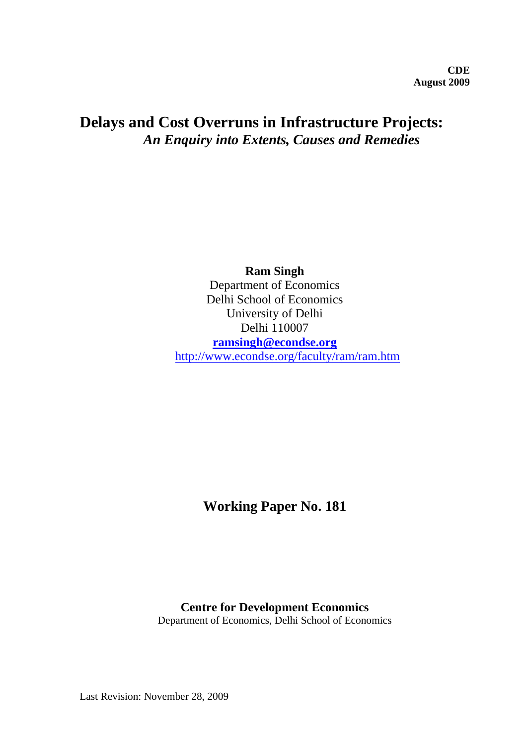# **Delays and Cost Overruns in Infrastructure Projects:**  *An Enquiry into Extents, Causes and Remedies*

**Ram Singh** Department of Economics Delhi School of Economics University of Delhi Delhi 110007 **[ramsingh@econdse.org](mailto:ramsingh@econdse.org)** <http://www.econdse.org/faculty/ram/ram.htm>

**Working Paper No. 181** 

## **Centre for Development Economics**

Department of Economics, Delhi School of Economics

Last Revision: November 28, 2009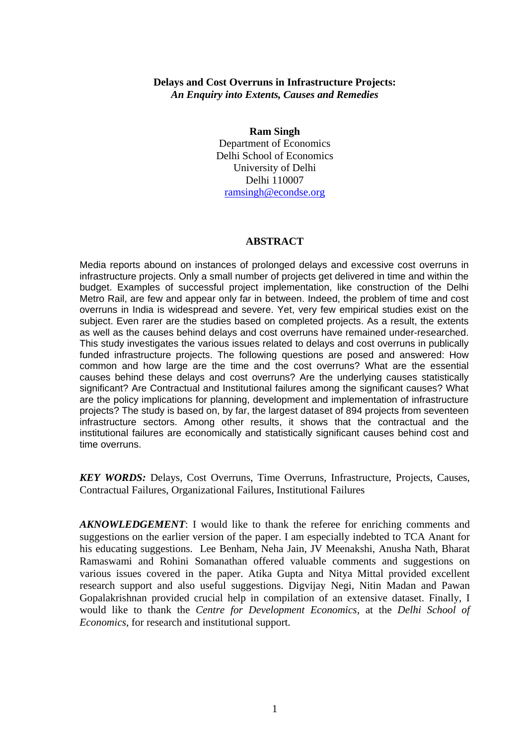## **Delays and Cost Overruns in Infrastructure Projects:**  *An Enquiry into Extents, Causes and Remedies*

#### **Ram Singh**

Department of Economics Delhi School of Economics University of Delhi Delhi 110007 [ramsingh@econdse.org](mailto:ramsingh@econdse.org)

#### **ABSTRACT**

Media reports abound on instances of prolonged delays and excessive cost overruns in infrastructure projects. Only a small number of projects get delivered in time and within the budget. Examples of successful project implementation, like construction of the Delhi Metro Rail, are few and appear only far in between. Indeed, the problem of time and cost overruns in India is widespread and severe. Yet, very few empirical studies exist on the subject. Even rarer are the studies based on completed projects. As a result, the extents as well as the causes behind delays and cost overruns have remained under-researched. This study investigates the various issues related to delays and cost overruns in publically funded infrastructure projects. The following questions are posed and answered: How common and how large are the time and the cost overruns? What are the essential causes behind these delays and cost overruns? Are the underlying causes statistically significant? Are Contractual and Institutional failures among the significant causes? What are the policy implications for planning, development and implementation of infrastructure projects? The study is based on, by far, the largest dataset of 894 projects from seventeen infrastructure sectors. Among other results, it shows that the contractual and the institutional failures are economically and statistically significant causes behind cost and time overruns.

*KEY WORDS:* Delays, Cost Overruns, Time Overruns, Infrastructure, Projects, Causes, Contractual Failures, Organizational Failures, Institutional Failures

*AKNOWLEDGEMENT*: I would like to thank the referee for enriching comments and suggestions on the earlier version of the paper. I am especially indebted to TCA Anant for his educating suggestions. Lee Benham, Neha Jain, JV Meenakshi, Anusha Nath, Bharat Ramaswami and Rohini Somanathan offered valuable comments and suggestions on various issues covered in the paper. Atika Gupta and Nitya Mittal provided excellent research support and also useful suggestions. Digvijay Negi, Nitin Madan and Pawan Gopalakrishnan provided crucial help in compilation of an extensive dataset. Finally, I would like to thank the *Centre for Development Economics*, at the *Delhi School of Economics*, for research and institutional support.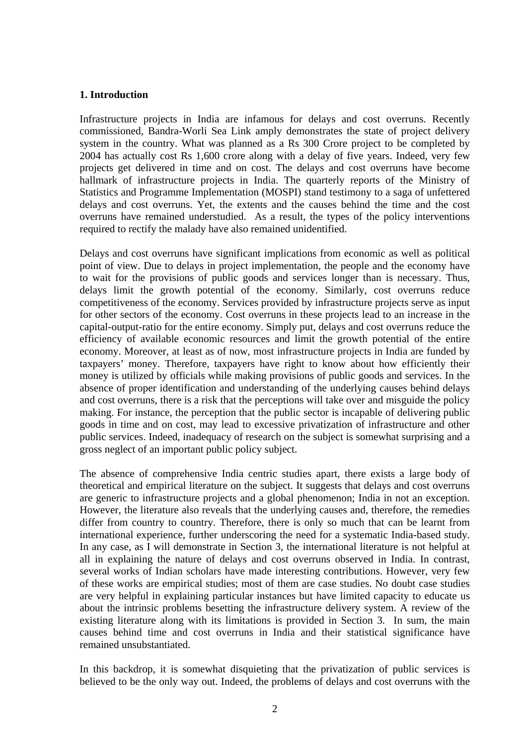#### **1. Introduction**

Infrastructure projects in India are infamous for delays and cost overruns. Recently commissioned, Bandra-Worli Sea Link amply demonstrates the state of project delivery system in the country. What was planned as a Rs 300 Crore project to be completed by 2004 has actually cost Rs 1,600 crore along with a delay of five years. Indeed, very few projects get delivered in time and on cost. The delays and cost overruns have become hallmark of infrastructure projects in India. The quarterly reports of the Ministry of Statistics and Programme Implementation (MOSPI) stand testimony to a saga of unfettered delays and cost overruns. Yet, the extents and the causes behind the time and the cost overruns have remained understudied. As a result, the types of the policy interventions required to rectify the malady have also remained unidentified.

Delays and cost overruns have significant implications from economic as well as political point of view. Due to delays in project implementation, the people and the economy have to wait for the provisions of public goods and services longer than is necessary. Thus, delays limit the growth potential of the economy. Similarly, cost overruns reduce competitiveness of the economy. Services provided by infrastructure projects serve as input for other sectors of the economy. Cost overruns in these projects lead to an increase in the capital-output-ratio for the entire economy. Simply put, delays and cost overruns reduce the efficiency of available economic resources and limit the growth potential of the entire economy. Moreover, at least as of now, most infrastructure projects in India are funded by taxpayers' money. Therefore, taxpayers have right to know about how efficiently their money is utilized by officials while making provisions of public goods and services. In the absence of proper identification and understanding of the underlying causes behind delays and cost overruns, there is a risk that the perceptions will take over and misguide the policy making. For instance, the perception that the public sector is incapable of delivering public goods in time and on cost, may lead to excessive privatization of infrastructure and other public services. Indeed, inadequacy of research on the subject is somewhat surprising and a gross neglect of an important public policy subject.

The absence of comprehensive India centric studies apart, there exists a large body of theoretical and empirical literature on the subject. It suggests that delays and cost overruns are generic to infrastructure projects and a global phenomenon; India in not an exception. However, the literature also reveals that the underlying causes and, therefore, the remedies differ from country to country. Therefore, there is only so much that can be learnt from international experience, further underscoring the need for a systematic India-based study. In any case, as I will demonstrate in Section 3, the international literature is not helpful at all in explaining the nature of delays and cost overruns observed in India. In contrast, several works of Indian scholars have made interesting contributions. However, very few of these works are empirical studies; most of them are case studies. No doubt case studies are very helpful in explaining particular instances but have limited capacity to educate us about the intrinsic problems besetting the infrastructure delivery system. A review of the existing literature along with its limitations is provided in Section 3. In sum, the main causes behind time and cost overruns in India and their statistical significance have remained unsubstantiated.

In this backdrop, it is somewhat disquieting that the privatization of public services is believed to be the only way out. Indeed, the problems of delays and cost overruns with the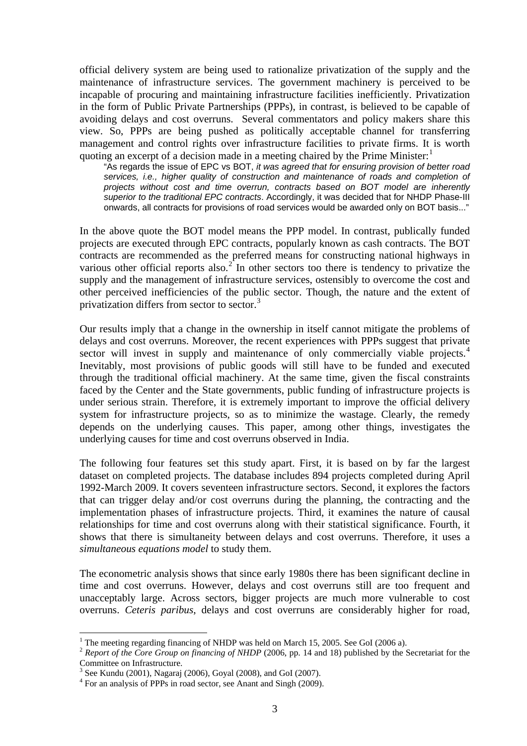official delivery system are being used to rationalize privatization of the supply and the maintenance of infrastructure services. The government machinery is perceived to be incapable of procuring and maintaining infrastructure facilities inefficiently. Privatization in the form of Public Private Partnerships (PPPs), in contrast, is believed to be capable of avoiding delays and cost overruns. Several commentators and policy makers share this view. So, PPPs are being pushed as politically acceptable channel for transferring management and control rights over infrastructure facilities to private firms. It is worth quoting an excerpt of a decision made in a meeting chaired by the Prime Minister:

"As regards the issue of EPC vs BOT, *it was agreed that for ensuring provision of better road services, i.e., higher quality of construction and maintenance of roads and completion of projects without cost and time overrun, contracts based on BOT model are inherently superior to the traditional EPC contracts*. Accordingly, it was decided that for NHDP Phase-III onwards, all contracts for provisions of road services would be awarded only on BOT basis..."

In the above quote the BOT model means the PPP model. In contrast, publically funded projects are executed through EPC contracts, popularly known as cash contracts. The BOT contracts are recommended as the preferred means for constructing national highways in various other official reports also.<sup>[2](#page-3-1)</sup> In other sectors too there is tendency to privatize the supply and the management of infrastructure services, ostensibly to overcome the cost and other perceived inefficiencies of the public sector. Though, the nature and the extent of privatization differs from sector to sector.<sup>[3](#page-3-2)</sup>

Our results imply that a change in the ownership in itself cannot mitigate the problems of delays and cost overruns. Moreover, the recent experiences with PPPs suggest that private sector will invest in supply and maintenance of only commercially viable projects.<sup>[4](#page-3-3)</sup> Inevitably, most provisions of public goods will still have to be funded and executed through the traditional official machinery. At the same time, given the fiscal constraints faced by the Center and the State governments, public funding of infrastructure projects is under serious strain. Therefore, it is extremely important to improve the official delivery system for infrastructure projects, so as to minimize the wastage. Clearly, the remedy depends on the underlying causes. This paper, among other things, investigates the underlying causes for time and cost overruns observed in India.

The following four features set this study apart. First, it is based on by far the largest dataset on completed projects. The database includes 894 projects completed during April 1992-March 2009. It covers seventeen infrastructure sectors. Second, it explores the factors that can trigger delay and/or cost overruns during the planning, the contracting and the implementation phases of infrastructure projects. Third, it examines the nature of causal relationships for time and cost overruns along with their statistical significance. Fourth, it shows that there is simultaneity between delays and cost overruns. Therefore, it uses a *simultaneous equations model* to study them.

The econometric analysis shows that since early 1980s there has been significant decline in time and cost overruns. However, delays and cost overruns still are too frequent and unacceptably large. Across sectors, bigger projects are much more vulnerable to cost overruns. *Ceteris paribus*, delays and cost overruns are considerably higher for road,

<u>.</u>

 $1$  The meeting regarding financing of NHDP was held on March 15, 2005. See GoI (2006 a).

<span id="page-3-1"></span><span id="page-3-0"></span><sup>2</sup> *Report of the Core Group on financing of NHDP* (2006, pp. 14 and 18) published by the Secretariat for the Committee on Infrastructure.

<sup>3</sup> See Kundu (2001), Nagaraj (2006), Goyal (2008), and GoI (2007).

<span id="page-3-3"></span><span id="page-3-2"></span><sup>4</sup> For an analysis of PPPs in road sector, see Anant and Singh (2009).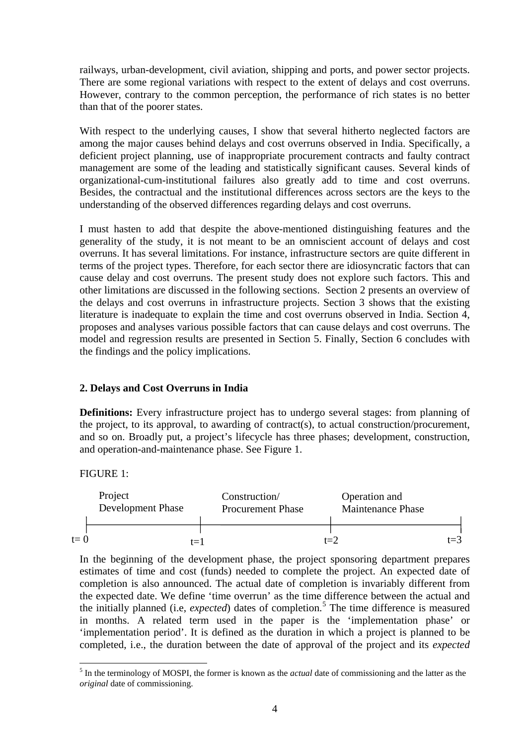railways, urban-development, civil aviation, shipping and ports, and power sector projects. There are some regional variations with respect to the extent of delays and cost overruns. However, contrary to the common perception, the performance of rich states is no better than that of the poorer states.

With respect to the underlying causes, I show that several hitherto neglected factors are among the major causes behind delays and cost overruns observed in India. Specifically, a deficient project planning, use of inappropriate procurement contracts and faulty contract management are some of the leading and statistically significant causes. Several kinds of organizational-cum-institutional failures also greatly add to time and cost overruns. Besides, the contractual and the institutional differences across sectors are the keys to the understanding of the observed differences regarding delays and cost overruns.

I must hasten to add that despite the above-mentioned distinguishing features and the generality of the study, it is not meant to be an omniscient account of delays and cost overruns. It has several limitations. For instance, infrastructure sectors are quite different in terms of the project types. Therefore, for each sector there are idiosyncratic factors that can cause delay and cost overruns. The present study does not explore such factors. This and other limitations are discussed in the following sections. Section 2 presents an overview of the delays and cost overruns in infrastructure projects. Section 3 shows that the existing literature is inadequate to explain the time and cost overruns observed in India. Section 4, proposes and analyses various possible factors that can cause delays and cost overruns. The model and regression results are presented in Section 5. Finally, Section 6 concludes with the findings and the policy implications.

## **2. Delays and Cost Overruns in India**

**Definitions:** Every infrastructure project has to undergo several stages: from planning of the project, to its approval, to awarding of contract(s), to actual construction/procurement, and so on. Broadly put, a project's lifecycle has three phases; development, construction, and operation-and-maintenance phase. See Figure 1.

#### FIGURE 1:

<u>.</u>



In the beginning of the development phase, the project sponsoring department prepares estimates of time and cost (funds) needed to complete the project. An expected date of completion is also announced. The actual date of completion is invariably different from the expected date. We define 'time overrun' as the time difference between the actual and the initially planned (i.e, *expected*) dates of completion.<sup>[5](#page-4-0)</sup> The time difference is measured in months. A related term used in the paper is the 'implementation phase' or 'implementation period'. It is defined as the duration in which a project is planned to be completed, i.e., the duration between the date of approval of the project and its *expected*

<span id="page-4-0"></span><sup>5</sup> In the terminology of MOSPI, the former is known as the *actual* date of commissioning and the latter as the *original* date of commissioning.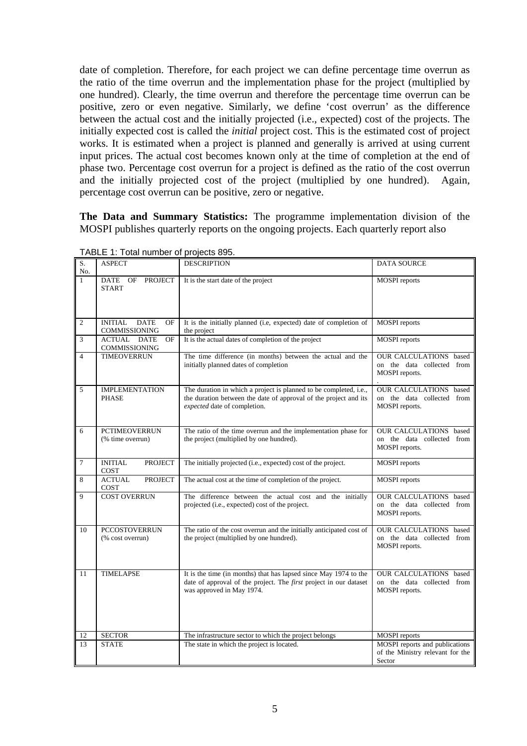date of completion. Therefore, for each project we can define percentage time overrun as the ratio of the time overrun and the implementation phase for the project (multiplied by one hundred). Clearly, the time overrun and therefore the percentage time overrun can be positive, zero or even negative. Similarly, we define 'cost overrun' as the difference between the actual cost and the initially projected (i.e., expected) cost of the projects. The initially expected cost is called the *initial* project cost. This is the estimated cost of project works. It is estimated when a project is planned and generally is arrived at using current input prices. The actual cost becomes known only at the time of completion at the end of phase two. Percentage cost overrun for a project is defined as the ratio of the cost overrun and the initially projected cost of the project (multiplied by one hundred). Again, percentage cost overrun can be positive, zero or negative.

**The Data and Summary Statistics:** The programme implementation division of the MOSPI publishes quarterly reports on the ongoing projects. Each quarterly report also

| S.<br>No.      | <b>ASPECT</b>                                        | <b>DESCRIPTION</b>                                                                                                                                                        | <b>DATA SOURCE</b>                                                            |
|----------------|------------------------------------------------------|---------------------------------------------------------------------------------------------------------------------------------------------------------------------------|-------------------------------------------------------------------------------|
| $\mathbf{1}$   | <b>PROJECT</b><br>DATE OF<br><b>START</b>            | It is the start date of the project                                                                                                                                       | <b>MOSPI</b> reports                                                          |
| $\sqrt{2}$     | <b>DATE</b><br><b>INITIAL</b><br>OF<br>COMMISSIONING | It is the initially planned (i.e, expected) date of completion of<br>the project                                                                                          | <b>MOSPI</b> reports                                                          |
| 3              | <b>ACTUAL DATE</b><br>OF<br>COMMISSIONING            | It is the actual dates of completion of the project                                                                                                                       | <b>MOSPI</b> reports                                                          |
| $\overline{4}$ | <b>TIMEOVERRUN</b>                                   | The time difference (in months) between the actual and the<br>initially planned dates of completion                                                                       | <b>OUR CALCULATIONS</b> based<br>on the data collected from<br>MOSPI reports. |
| 5              | <b>IMPLEMENTATION</b><br><b>PHASE</b>                | The duration in which a project is planned to be completed, i.e.,<br>the duration between the date of approval of the project and its<br>expected date of completion.     | OUR CALCULATIONS based<br>on the data collected from<br>MOSPI reports.        |
| 6              | <b>PCTIMEOVERRUN</b><br>(% time overrun)             | The ratio of the time overrun and the implementation phase for<br>the project (multiplied by one hundred).                                                                | <b>OUR CALCULATIONS</b> based<br>on the data collected from<br>MOSPI reports. |
| $\overline{7}$ | <b>INITIAL</b><br><b>PROJECT</b><br>COST             | The initially projected (i.e., expected) cost of the project.                                                                                                             | <b>MOSPI</b> reports                                                          |
| 8              | <b>ACTUAL</b><br><b>PROJECT</b><br>COST              | The actual cost at the time of completion of the project.                                                                                                                 | <b>MOSPI</b> reports                                                          |
| 9              | <b>COST OVERRUN</b>                                  | The difference between the actual cost and the initially<br>projected (i.e., expected) cost of the project.                                                               | <b>OUR CALCULATIONS</b> based<br>on the data collected from<br>MOSPI reports. |
| 10             | <b>PCCOSTOVERRUN</b><br>(% cost overrun)             | The ratio of the cost overrun and the initially anticipated cost of<br>the project (multiplied by one hundred).                                                           | OUR CALCULATIONS based<br>on the data collected from<br>MOSPI reports.        |
| 11             | <b>TIMELAPSE</b>                                     | It is the time (in months) that has lapsed since May 1974 to the<br>date of approval of the project. The <i>first</i> project in our dataset<br>was approved in May 1974. | OUR CALCULATIONS based<br>on the data collected from<br>MOSPI reports.        |
| 12<br>13       | <b>SECTOR</b><br><b>STATE</b>                        | The infrastructure sector to which the project belongs<br>The state in which the project is located.                                                                      | <b>MOSPI</b> reports<br>MOSPI reports and publications                        |
|                |                                                      |                                                                                                                                                                           | of the Ministry relevant for the<br>Sector                                    |

TABLE 1: Total number of projects 895.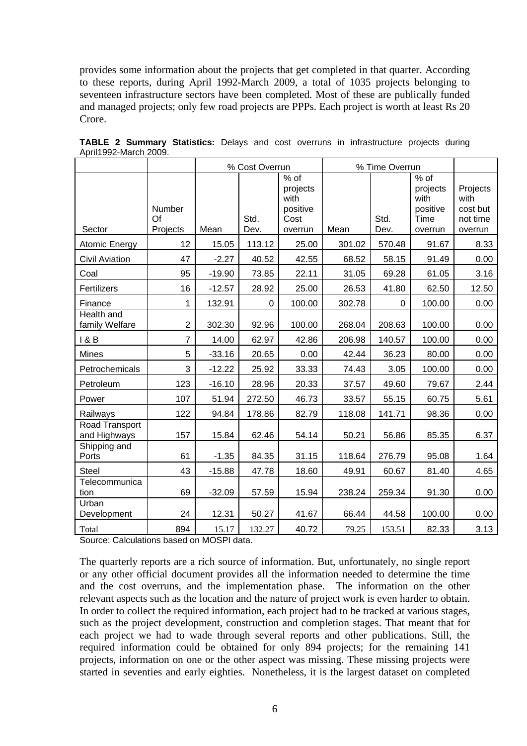provides some information about the projects that get completed in that quarter. According to these reports, during April 1992-March 2009, a total of 1035 projects belonging to seventeen infrastructure sectors have been completed. Most of these are publically funded and managed projects; only few road projects are PPPs. Each project is worth at least Rs 20 Crore.

|                                |                          |          | % Cost Overrun |                                                           |        | % Time Overrun |                                                           |                                                     |
|--------------------------------|--------------------------|----------|----------------|-----------------------------------------------------------|--------|----------------|-----------------------------------------------------------|-----------------------------------------------------|
| Sector                         | Number<br>Of<br>Projects | Mean     | Std.<br>Dev.   | $%$ of<br>projects<br>with<br>positive<br>Cost<br>overrun | Mean   | Std.<br>Dev.   | $%$ of<br>projects<br>with<br>positive<br>Time<br>overrun | Projects<br>with<br>cost but<br>not time<br>overrun |
| Atomic Energy                  | 12                       | 15.05    | 113.12         | 25.00                                                     | 301.02 | 570.48         | 91.67                                                     | 8.33                                                |
| <b>Civil Aviation</b>          | 47                       | $-2.27$  | 40.52          | 42.55                                                     | 68.52  | 58.15          | 91.49                                                     | 0.00                                                |
| Coal                           | 95                       | $-19.90$ | 73.85          | 22.11                                                     | 31.05  | 69.28          | 61.05                                                     | 3.16                                                |
| Fertilizers                    | 16                       | $-12.57$ | 28.92          | 25.00                                                     | 26.53  | 41.80          | 62.50                                                     | 12.50                                               |
| Finance                        | 1                        | 132.91   | $\mathbf 0$    | 100.00                                                    | 302.78 | $\Omega$       | 100.00                                                    | 0.00                                                |
| Health and<br>family Welfare   | $\overline{2}$           | 302.30   | 92.96          | 100.00                                                    | 268.04 | 208.63         | 100.00                                                    | 0.00                                                |
| 1 & B                          | $\overline{7}$           | 14.00    | 62.97          | 42.86                                                     | 206.98 | 140.57         | 100.00                                                    | 0.00                                                |
| <b>Mines</b>                   | 5                        | $-33.16$ | 20.65          | 0.00                                                      | 42.44  | 36.23          | 80.00                                                     | 0.00                                                |
| Petrochemicals                 | 3                        | $-12.22$ | 25.92          | 33.33                                                     | 74.43  | 3.05           | 100.00                                                    | 0.00                                                |
| Petroleum                      | 123                      | $-16.10$ | 28.96          | 20.33                                                     | 37.57  | 49.60          | 79.67                                                     | 2.44                                                |
| Power                          | 107                      | 51.94    | 272.50         | 46.73                                                     | 33.57  | 55.15          | 60.75                                                     | 5.61                                                |
| Railways                       | 122                      | 94.84    | 178.86         | 82.79                                                     | 118.08 | 141.71         | 98.36                                                     | 0.00                                                |
| Road Transport<br>and Highways | 157                      | 15.84    | 62.46          | 54.14                                                     | 50.21  | 56.86          | 85.35                                                     | 6.37                                                |
| Shipping and<br>Ports          | 61                       | $-1.35$  | 84.35          | 31.15                                                     | 118.64 | 276.79         | 95.08                                                     | 1.64                                                |
| Steel                          | 43                       | $-15.88$ | 47.78          | 18.60                                                     | 49.91  | 60.67          | 81.40                                                     | 4.65                                                |
| Telecommunica<br>tion          | 69                       | $-32.09$ | 57.59          | 15.94                                                     | 238.24 | 259.34         | 91.30                                                     | 0.00                                                |
| Urban<br>Development           | 24                       | 12.31    | 50.27          | 41.67                                                     | 66.44  | 44.58          | 100.00                                                    | 0.00                                                |
| Total                          | 894                      | 15.17    | 132.27         | 40.72                                                     | 79.25  | 153.51         | 82.33                                                     | 3.13                                                |

**TABLE 2 Summary Statistics:** Delays and cost overruns in infrastructure projects during April1992-March 2009.

Source: Calculations based on MOSPI data.

The quarterly reports are a rich source of information. But, unfortunately, no single report or any other official document provides all the information needed to determine the time and the cost overruns, and the implementation phase. The information on the other relevant aspects such as the location and the nature of project work is even harder to obtain. In order to collect the required information, each project had to be tracked at various stages, such as the project development, construction and completion stages. That meant that for each project we had to wade through several reports and other publications. Still, the required information could be obtained for only 894 projects; for the remaining 141 projects, information on one or the other aspect was missing. These missing projects were started in seventies and early eighties. Nonetheless, it is the largest dataset on completed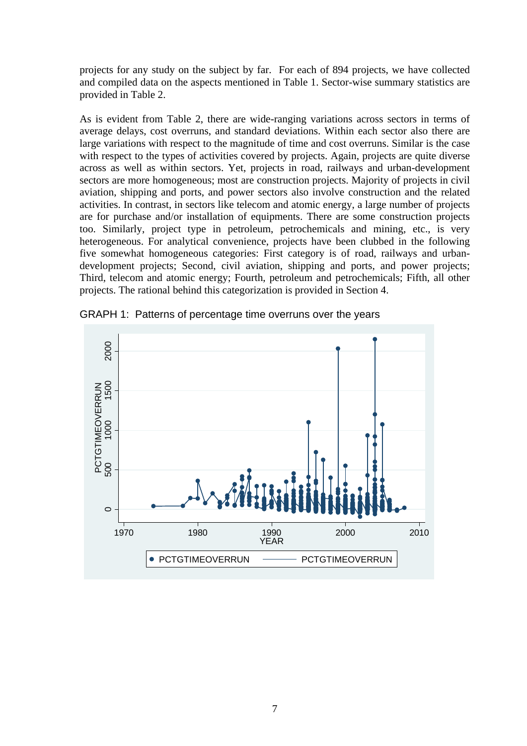projects for any study on the subject by far. For each of 894 projects, we have collected and compiled data on the aspects mentioned in Table 1. Sector-wise summary statistics are provided in Table 2.

As is evident from Table 2, there are wide-ranging variations across sectors in terms of average delays, cost overruns, and standard deviations. Within each sector also there are large variations with respect to the magnitude of time and cost overruns. Similar is the case with respect to the types of activities covered by projects. Again, projects are quite diverse across as well as within sectors. Yet, projects in road, railways and urban-development sectors are more homogeneous; most are construction projects. Majority of projects in civil aviation, shipping and ports, and power sectors also involve construction and the related activities. In contrast, in sectors like telecom and atomic energy, a large number of projects are for purchase and/or installation of equipments. There are some construction projects too. Similarly, project type in petroleum, petrochemicals and mining, etc., is very heterogeneous. For analytical convenience, projects have been clubbed in the following five somewhat homogeneous categories: First category is of road, railways and urbandevelopment projects; Second, civil aviation, shipping and ports, and power projects; Third, telecom and atomic energy; Fourth, petroleum and petrochemicals; Fifth, all other projects. The rational behind this categorization is provided in Section 4.



GRAPH 1: Patterns of percentage time overruns over the years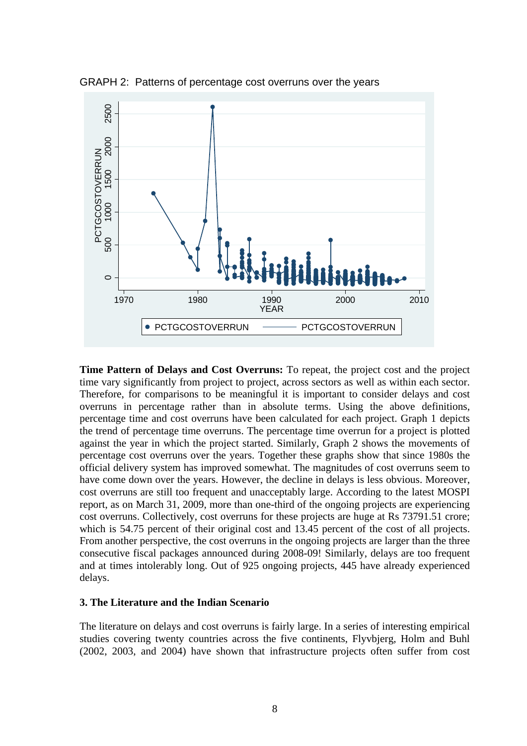GRAPH 2: Patterns of percentage cost overruns over the years



**Time Pattern of Delays and Cost Overruns:** To repeat, the project cost and the project time vary significantly from project to project, across sectors as well as within each sector. Therefore, for comparisons to be meaningful it is important to consider delays and cost overruns in percentage rather than in absolute terms. Using the above definitions, percentage time and cost overruns have been calculated for each project. Graph 1 depicts the trend of percentage time overruns. The percentage time overrun for a project is plotted against the year in which the project started. Similarly, Graph 2 shows the movements of percentage cost overruns over the years. Together these graphs show that since 1980s the official delivery system has improved somewhat. The magnitudes of cost overruns seem to have come down over the years. However, the decline in delays is less obvious. Moreover, cost overruns are still too frequent and unacceptably large. According to the latest MOSPI report, as on March 31, 2009, more than one-third of the ongoing projects are experiencing cost overruns. Collectively, cost overruns for these projects are huge at Rs 73791.51 crore; which is 54.75 percent of their original cost and 13.45 percent of the cost of all projects. From another perspective, the cost overruns in the ongoing projects are larger than the three consecutive fiscal packages announced during 2008-09! Similarly, delays are too frequent and at times intolerably long. Out of 925 ongoing projects, 445 have already experienced delays.

## **3. The Literature and the Indian Scenario**

The literature on delays and cost overruns is fairly large. In a series of interesting empirical studies covering twenty countries across the five continents, Flyvbjerg, Holm and Buhl (2002, 2003, and 2004) have shown that infrastructure projects often suffer from cost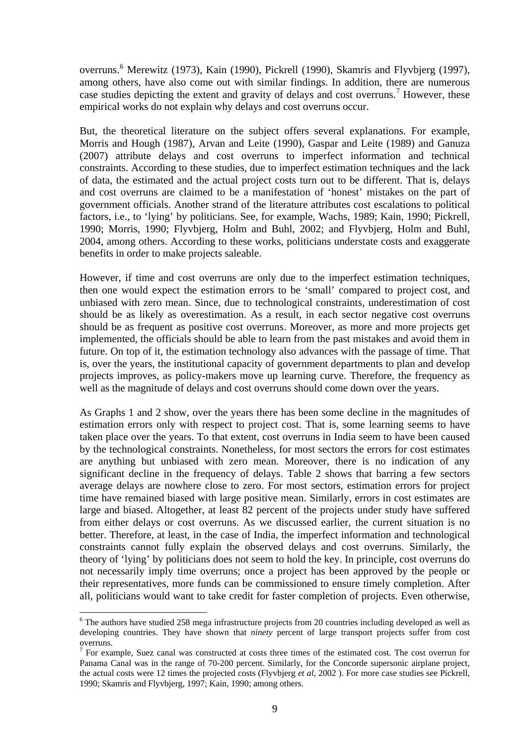overruns.<sup>[6](#page-9-0)</sup> Merewitz (1973), Kain (1990), Pickrell (1990), Skamris and Flyvbjerg (1997), among others, have also come out with similar findings. In addition, there are numerous case studies depicting the extent and gravity of delays and cost overruns.<sup>[7](#page-9-1)</sup> However, these empirical works do not explain why delays and cost overruns occur.

But, the theoretical literature on the subject offers several explanations. For example, Morris and Hough (1987), Arvan and Leite (1990), Gaspar and Leite (1989) and Ganuza (2007) attribute delays and cost overruns to imperfect information and technical constraints. According to these studies, due to imperfect estimation techniques and the lack of data, the estimated and the actual project costs turn out to be different. That is, delays and cost overruns are claimed to be a manifestation of 'honest' mistakes on the part of government officials. Another strand of the literature attributes cost escalations to political factors, i.e., to 'lying' by politicians. See, for example, Wachs, 1989; Kain, 1990; Pickrell, 1990; Morris, 1990; Flyvbjerg, Holm and Buhl, 2002; and Flyvbjerg, Holm and Buhl, 2004, among others. According to these works, politicians understate costs and exaggerate benefits in order to make projects saleable.

However, if time and cost overruns are only due to the imperfect estimation techniques, then one would expect the estimation errors to be 'small' compared to project cost, and unbiased with zero mean. Since, due to technological constraints, underestimation of cost should be as likely as overestimation. As a result, in each sector negative cost overruns should be as frequent as positive cost overruns. Moreover, as more and more projects get implemented, the officials should be able to learn from the past mistakes and avoid them in future. On top of it, the estimation technology also advances with the passage of time. That is, over the years, the institutional capacity of government departments to plan and develop projects improves, as policy-makers move up learning curve. Therefore, the frequency as well as the magnitude of delays and cost overruns should come down over the years.

As Graphs 1 and 2 show, over the years there has been some decline in the magnitudes of estimation errors only with respect to project cost. That is, some learning seems to have taken place over the years. To that extent, cost overruns in India seem to have been caused by the technological constraints. Nonetheless, for most sectors the errors for cost estimates are anything but unbiased with zero mean. Moreover, there is no indication of any significant decline in the frequency of delays. Table 2 shows that barring a few sectors average delays are nowhere close to zero. For most sectors, estimation errors for project time have remained biased with large positive mean. Similarly, errors in cost estimates are large and biased. Altogether, at least 82 percent of the projects under study have suffered from either delays or cost overruns. As we discussed earlier, the current situation is no better. Therefore, at least, in the case of India, the imperfect information and technological constraints cannot fully explain the observed delays and cost overruns. Similarly, the theory of 'lying' by politicians does not seem to hold the key. In principle, cost overruns do not necessarily imply time overruns; once a project has been approved by the people or their representatives, more funds can be commissioned to ensure timely completion. After all, politicians would want to take credit for faster completion of projects. Even otherwise,

-

<span id="page-9-0"></span> $6$  The authors have studied 258 mega infrastructure projects from 20 countries including developed as well as developing countries. They have shown that *ninety* percent of large transport projects suffer from cost overruns.

<span id="page-9-1"></span><sup>&</sup>lt;sup>7</sup> For example, Suez canal was constructed at costs three times of the estimated cost. The cost overrun for Panama Canal was in the range of 70-200 percent. Similarly, for the Concorde supersonic airplane project, the actual costs were 12 times the projected costs (Flyvbjerg *et al*, 2002 ). For more case studies see Pickrell, 1990; Skamris and Flyvbjerg, 1997; Kain, 1990; among others.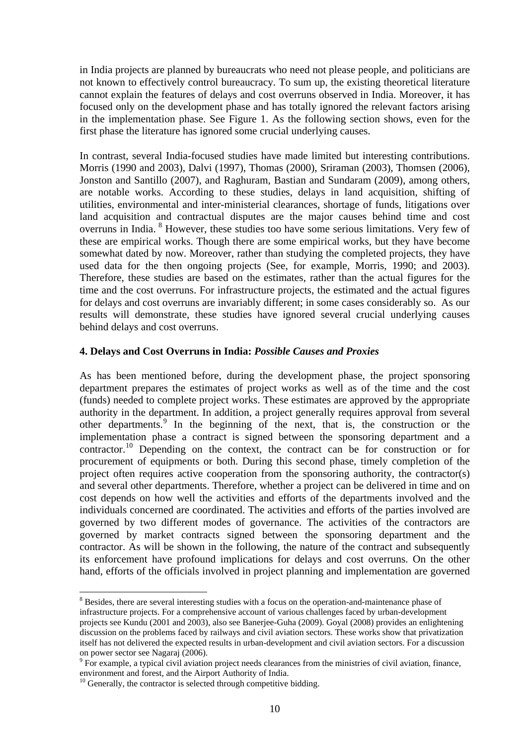in India projects are planned by bureaucrats who need not please people, and politicians are not known to effectively control bureaucracy. To sum up, the existing theoretical literature cannot explain the features of delays and cost overruns observed in India. Moreover, it has focused only on the development phase and has totally ignored the relevant factors arising in the implementation phase. See Figure 1. As the following section shows, even for the first phase the literature has ignored some crucial underlying causes.

In contrast, several India-focused studies have made limited but interesting contributions. Morris (1990 and 2003), Dalvi (1997), Thomas (2000), Sriraman (2003), Thomsen (2006), Jonston and Santillo (2007), and Raghuram, Bastian and Sundaram (2009), among others, are notable works. According to these studies, delays in land acquisition, shifting of utilities, environmental and inter-ministerial clearances, shortage of funds, litigations over land acquisition and contractual disputes are the major causes behind time and cost overruns in India. <sup>[8](#page-10-0)</sup> However, these studies too have some serious limitations. Very few of these are empirical works. Though there are some empirical works, but they have become somewhat dated by now. Moreover, rather than studying the completed projects, they have used data for the then ongoing projects (See, for example, Morris, 1990; and 2003). Therefore, these studies are based on the estimates, rather than the actual figures for the time and the cost overruns. For infrastructure projects, the estimated and the actual figures for delays and cost overruns are invariably different; in some cases considerably so. As our results will demonstrate, these studies have ignored several crucial underlying causes behind delays and cost overruns.

## **4. Delays and Cost Overruns in India:** *Possible Causes and Proxies*

As has been mentioned before, during the development phase, the project sponsoring department prepares the estimates of project works as well as of the time and the cost (funds) needed to complete project works. These estimates are approved by the appropriate authority in the department. In addition, a project generally requires approval from several other departments. [9](#page-10-1) In the beginning of the next, that is, the construction or the implementation phase a contract is signed between the sponsoring department and a contractor. [10](#page-10-2) Depending on the context, the contract can be for construction or for procurement of equipments or both. During this second phase, timely completion of the project often requires active cooperation from the sponsoring authority, the contractor(s) and several other departments. Therefore, whether a project can be delivered in time and on cost depends on how well the activities and efforts of the departments involved and the individuals concerned are coordinated. The activities and efforts of the parties involved are governed by two different modes of governance. The activities of the contractors are governed by market contracts signed between the sponsoring department and the contractor. As will be shown in the following, the nature of the contract and subsequently its enforcement have profound implications for delays and cost overruns. On the other hand, efforts of the officials involved in project planning and implementation are governed

-

<span id="page-10-0"></span><sup>&</sup>lt;sup>8</sup> Besides, there are several interesting studies with a focus on the operation-and-maintenance phase of infrastructure projects. For a comprehensive account of various challenges faced by urban-development projects see Kundu (2001 and 2003), also see Banerjee-Guha (2009). Goyal (2008) provides an enlightening discussion on the problems faced by railways and civil aviation sectors. These works show that privatization itself has not delivered the expected results in urban-development and civil aviation sectors. For a discussion on power sector see Nagaraj (2006).

<span id="page-10-1"></span><sup>&</sup>lt;sup>9</sup> For example, a typical civil aviation project needs clearances from the ministries of civil aviation, finance, environment and forest, and the Airport Authority of India.

<span id="page-10-2"></span> $10$  Generally, the contractor is selected through competitive bidding.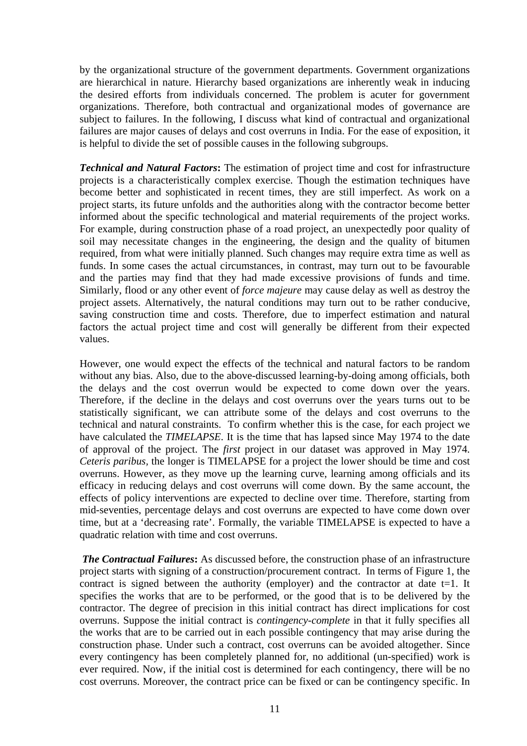by the organizational structure of the government departments. Government organizations are hierarchical in nature. Hierarchy based organizations are inherently weak in inducing the desired efforts from individuals concerned. The problem is acuter for government organizations. Therefore, both contractual and organizational modes of governance are subject to failures. In the following, I discuss what kind of contractual and organizational failures are major causes of delays and cost overruns in India. For the ease of exposition, it is helpful to divide the set of possible causes in the following subgroups.

*Technical and Natural Factors***:** The estimation of project time and cost for infrastructure projects is a characteristically complex exercise. Though the estimation techniques have become better and sophisticated in recent times, they are still imperfect. As work on a project starts, its future unfolds and the authorities along with the contractor become better informed about the specific technological and material requirements of the project works. For example, during construction phase of a road project, an unexpectedly poor quality of soil may necessitate changes in the engineering, the design and the quality of bitumen required, from what were initially planned. Such changes may require extra time as well as funds. In some cases the actual circumstances, in contrast, may turn out to be favourable and the parties may find that they had made excessive provisions of funds and time. Similarly, flood or any other event of *force majeure* may cause delay as well as destroy the project assets. Alternatively, the natural conditions may turn out to be rather conducive, saving construction time and costs. Therefore, due to imperfect estimation and natural factors the actual project time and cost will generally be different from their expected values.

However, one would expect the effects of the technical and natural factors to be random without any bias. Also, due to the above-discussed learning-by-doing among officials, both the delays and the cost overrun would be expected to come down over the years. Therefore, if the decline in the delays and cost overruns over the years turns out to be statistically significant, we can attribute some of the delays and cost overruns to the technical and natural constraints. To confirm whether this is the case, for each project we have calculated the *TIMELAPSE*. It is the time that has lapsed since May 1974 to the date of approval of the project. The *first* project in our dataset was approved in May 1974. *Ceteris paribus,* the longer is TIMELAPSE for a project the lower should be time and cost overruns. However, as they move up the learning curve, learning among officials and its efficacy in reducing delays and cost overruns will come down. By the same account, the effects of policy interventions are expected to decline over time. Therefore, starting from mid-seventies, percentage delays and cost overruns are expected to have come down over time, but at a 'decreasing rate'. Formally, the variable TIMELAPSE is expected to have a quadratic relation with time and cost overruns.

*The Contractual Failures***:** As discussed before, the construction phase of an infrastructure project starts with signing of a construction/procurement contract. In terms of Figure 1, the contract is signed between the authority (employer) and the contractor at date  $t=1$ . It specifies the works that are to be performed, or the good that is to be delivered by the contractor. The degree of precision in this initial contract has direct implications for cost overruns. Suppose the initial contract is *contingency-complete* in that it fully specifies all the works that are to be carried out in each possible contingency that may arise during the construction phase. Under such a contract, cost overruns can be avoided altogether. Since every contingency has been completely planned for, no additional (un-specified) work is ever required. Now, if the initial cost is determined for each contingency, there will be no cost overruns. Moreover, the contract price can be fixed or can be contingency specific. In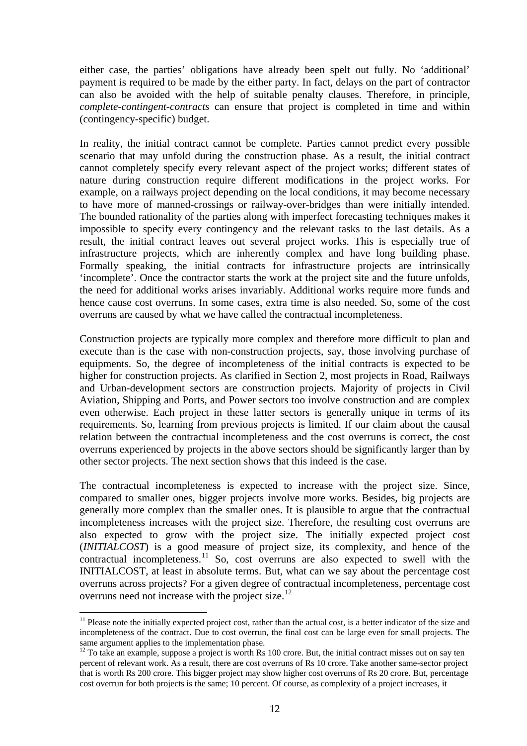either case, the parties' obligations have already been spelt out fully. No 'additional' payment is required to be made by the either party. In fact, delays on the part of contractor can also be avoided with the help of suitable penalty clauses. Therefore, in principle, *complete-contingent-contracts* can ensure that project is completed in time and within (contingency-specific) budget.

In reality, the initial contract cannot be complete. Parties cannot predict every possible scenario that may unfold during the construction phase. As a result, the initial contract cannot completely specify every relevant aspect of the project works; different states of nature during construction require different modifications in the project works. For example, on a railways project depending on the local conditions, it may become necessary to have more of manned-crossings or railway-over-bridges than were initially intended. The bounded rationality of the parties along with imperfect forecasting techniques makes it impossible to specify every contingency and the relevant tasks to the last details. As a result, the initial contract leaves out several project works. This is especially true of infrastructure projects, which are inherently complex and have long building phase. Formally speaking, the initial contracts for infrastructure projects are intrinsically 'incomplete'. Once the contractor starts the work at the project site and the future unfolds, the need for additional works arises invariably. Additional works require more funds and hence cause cost overruns. In some cases, extra time is also needed. So, some of the cost overruns are caused by what we have called the contractual incompleteness.

Construction projects are typically more complex and therefore more difficult to plan and execute than is the case with non-construction projects, say, those involving purchase of equipments. So, the degree of incompleteness of the initial contracts is expected to be higher for construction projects. As clarified in Section 2, most projects in Road, Railways and Urban-development sectors are construction projects. Majority of projects in Civil Aviation, Shipping and Ports, and Power sectors too involve construction and are complex even otherwise. Each project in these latter sectors is generally unique in terms of its requirements. So, learning from previous projects is limited. If our claim about the causal relation between the contractual incompleteness and the cost overruns is correct, the cost overruns experienced by projects in the above sectors should be significantly larger than by other sector projects. The next section shows that this indeed is the case.

The contractual incompleteness is expected to increase with the project size. Since, compared to smaller ones, bigger projects involve more works. Besides, big projects are generally more complex than the smaller ones. It is plausible to argue that the contractual incompleteness increases with the project size. Therefore, the resulting cost overruns are also expected to grow with the project size. The initially expected project cost (*INITIALCOST*) is a good measure of project size, its complexity, and hence of the contractual incompleteness.<sup>[11](#page-12-0)</sup> So, cost overruns are also expected to swell with the INITIALCOST, at least in absolute terms. But, what can we say about the percentage cost overruns across projects? For a given degree of contractual incompleteness, percentage cost overruns need not increase with the project size. [12](#page-12-1)

<span id="page-12-0"></span><sup>-</sup> $11$  Please note the initially expected project cost, rather than the actual cost, is a better indicator of the size and incompleteness of the contract. Due to cost overrun, the final cost can be large even for small projects. The same argument applies to the implementation phase.

<span id="page-12-1"></span> $12$  To take an example, suppose a project is worth Rs 100 crore. But, the initial contract misses out on say ten percent of relevant work. As a result, there are cost overruns of Rs 10 crore. Take another same-sector project that is worth Rs 200 crore. This bigger project may show higher cost overruns of Rs 20 crore. But, percentage cost overrun for both projects is the same; 10 percent. Of course, as complexity of a project increases, it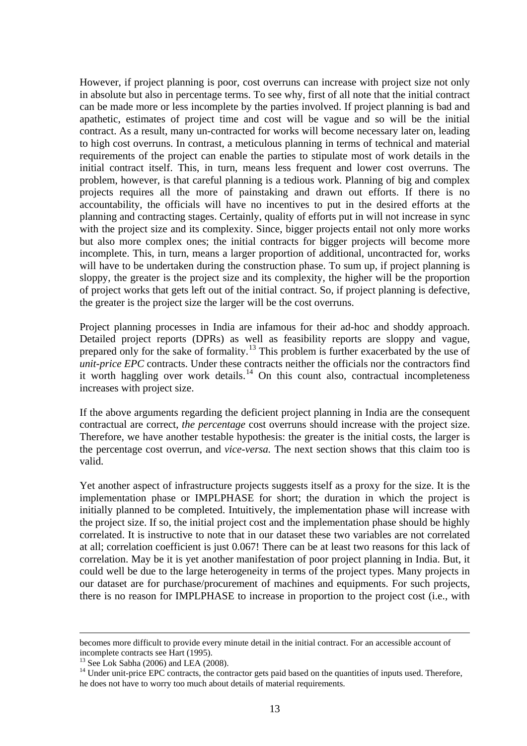However, if project planning is poor, cost overruns can increase with project size not only in absolute but also in percentage terms. To see why, first of all note that the initial contract can be made more or less incomplete by the parties involved. If project planning is bad and apathetic, estimates of project time and cost will be vague and so will be the initial contract. As a result, many un-contracted for works will become necessary later on, leading to high cost overruns. In contrast, a meticulous planning in terms of technical and material requirements of the project can enable the parties to stipulate most of work details in the initial contract itself. This, in turn, means less frequent and lower cost overruns. The problem, however, is that careful planning is a tedious work. Planning of big and complex projects requires all the more of painstaking and drawn out efforts. If there is no accountability, the officials will have no incentives to put in the desired efforts at the planning and contracting stages. Certainly, quality of efforts put in will not increase in sync with the project size and its complexity. Since, bigger projects entail not only more works but also more complex ones; the initial contracts for bigger projects will become more incomplete. This, in turn, means a larger proportion of additional, uncontracted for, works will have to be undertaken during the construction phase. To sum up, if project planning is sloppy, the greater is the project size and its complexity, the higher will be the proportion of project works that gets left out of the initial contract. So, if project planning is defective, the greater is the project size the larger will be the cost overruns.

Project planning processes in India are infamous for their ad-hoc and shoddy approach. Detailed project reports (DPRs) as well as feasibility reports are sloppy and vague, prepared only for the sake of formality.[13](#page-13-0) This problem is further exacerbated by the use of *unit-price EPC* contracts. Under these contracts neither the officials nor the contractors find it worth haggling over work details.<sup>[14](#page-13-1)</sup> On this count also, contractual incompleteness increases with project size.

If the above arguments regarding the deficient project planning in India are the consequent contractual are correct, *the percentage* cost overruns should increase with the project size. Therefore, we have another testable hypothesis: the greater is the initial costs, the larger is the percentage cost overrun, and *vice-versa.* The next section shows that this claim too is valid.

Yet another aspect of infrastructure projects suggests itself as a proxy for the size. It is the implementation phase or IMPLPHASE for short; the duration in which the project is initially planned to be completed. Intuitively, the implementation phase will increase with the project size. If so, the initial project cost and the implementation phase should be highly correlated. It is instructive to note that in our dataset these two variables are not correlated at all; correlation coefficient is just 0.067! There can be at least two reasons for this lack of correlation. May be it is yet another manifestation of poor project planning in India. But, it could well be due to the large heterogeneity in terms of the project types. Many projects in our dataset are for purchase/procurement of machines and equipments. For such projects, there is no reason for IMPLPHASE to increase in proportion to the project cost (i.e., with

becomes more difficult to provide every minute detail in the initial contract. For an accessible account of incomplete contracts see Hart (1995).

<span id="page-13-1"></span><span id="page-13-0"></span><sup>&</sup>lt;sup>13</sup> See Lok Sabha (2006) and LEA (2008). <sup>14</sup> Under unit-price EPC contracts, the contractor gets paid based on the quantities of inputs used. Therefore, he does not have to worry too much about details of material requirements.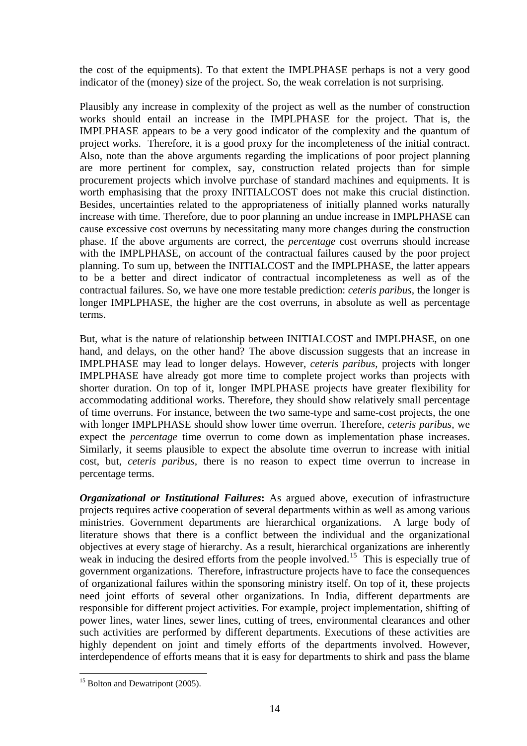the cost of the equipments). To that extent the IMPLPHASE perhaps is not a very good indicator of the (money) size of the project. So, the weak correlation is not surprising.

Plausibly any increase in complexity of the project as well as the number of construction works should entail an increase in the IMPLPHASE for the project. That is, the IMPLPHASE appears to be a very good indicator of the complexity and the quantum of project works. Therefore, it is a good proxy for the incompleteness of the initial contract. Also, note than the above arguments regarding the implications of poor project planning are more pertinent for complex, say, construction related projects than for simple procurement projects which involve purchase of standard machines and equipments. It is worth emphasising that the proxy INITIALCOST does not make this crucial distinction. Besides, uncertainties related to the appropriateness of initially planned works naturally increase with time. Therefore, due to poor planning an undue increase in IMPLPHASE can cause excessive cost overruns by necessitating many more changes during the construction phase. If the above arguments are correct, the *percentage* cost overruns should increase with the IMPLPHASE, on account of the contractual failures caused by the poor project planning. To sum up, between the INITIALCOST and the IMPLPHASE, the latter appears to be a better and direct indicator of contractual incompleteness as well as of the contractual failures. So, we have one more testable prediction: *ceteris paribus,* the longer is longer IMPLPHASE, the higher are the cost overruns, in absolute as well as percentage terms.

But, what is the nature of relationship between INITIALCOST and IMPLPHASE, on one hand, and delays, on the other hand? The above discussion suggests that an increase in IMPLPHASE may lead to longer delays. However, *ceteris paribus,* projects with longer IMPLPHASE have already got more time to complete project works than projects with shorter duration. On top of it, longer IMPLPHASE projects have greater flexibility for accommodating additional works. Therefore, they should show relatively small percentage of time overruns. For instance, between the two same-type and same-cost projects, the one with longer IMPLPHASE should show lower time overrun. Therefore, *ceteris paribus,* we expect the *percentage* time overrun to come down as implementation phase increases. Similarly, it seems plausible to expect the absolute time overrun to increase with initial cost, but, *ceteris paribus,* there is no reason to expect time overrun to increase in percentage terms.

*Organizational or Institutional Failures***:** As argued above, execution of infrastructure projects requires active cooperation of several departments within as well as among various ministries. Government departments are hierarchical organizations. A large body of literature shows that there is a conflict between the individual and the organizational objectives at every stage of hierarchy. As a result, hierarchical organizations are inherently weak in inducing the desired efforts from the people involved.<sup>[15](#page-14-0)</sup> This is especially true of government organizations. Therefore, infrastructure projects have to face the consequences of organizational failures within the sponsoring ministry itself. On top of it, these projects need joint efforts of several other organizations. In India, different departments are responsible for different project activities. For example, project implementation, shifting of power lines, water lines, sewer lines, cutting of trees, environmental clearances and other such activities are performed by different departments. Executions of these activities are highly dependent on joint and timely efforts of the departments involved. However, interdependence of efforts means that it is easy for departments to shirk and pass the blame

<span id="page-14-0"></span><sup>&</sup>lt;u>.</u> <sup>15</sup> Bolton and Dewatripont (2005).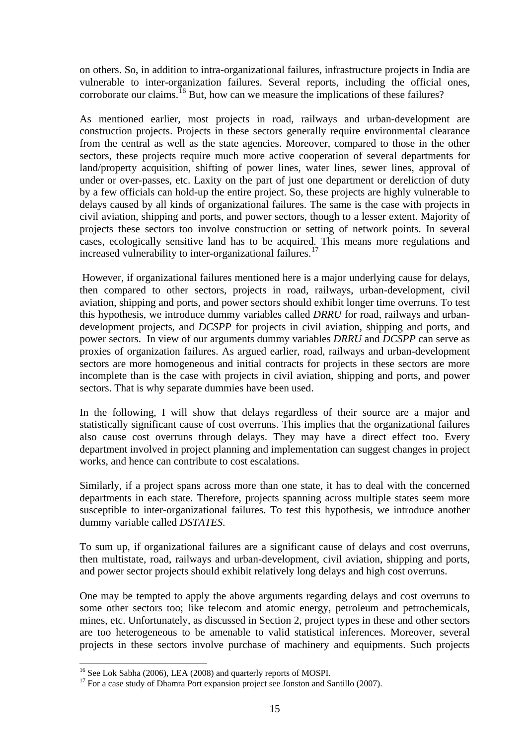on others. So, in addition to intra-organizational failures, infrastructure projects in India are vulnerable to inter-organization failures. Several reports, including the official ones, corroborate our claims.  $^{16}$  $^{16}$  $^{16}$  But, how can we measure the implications of these failures?

As mentioned earlier, most projects in road, railways and urban-development are construction projects. Projects in these sectors generally require environmental clearance from the central as well as the state agencies. Moreover, compared to those in the other sectors, these projects require much more active cooperation of several departments for land/property acquisition, shifting of power lines, water lines, sewer lines, approval of under or over-passes, etc. Laxity on the part of just one department or dereliction of duty by a few officials can hold-up the entire project. So, these projects are highly vulnerable to delays caused by all kinds of organizational failures. The same is the case with projects in civil aviation, shipping and ports, and power sectors, though to a lesser extent. Majority of projects these sectors too involve construction or setting of network points. In several cases, ecologically sensitive land has to be acquired. This means more regulations and increased vulnerability to inter-organizational failures.<sup>[17](#page-15-1)</sup>

However, if organizational failures mentioned here is a major underlying cause for delays, then compared to other sectors, projects in road, railways, urban-development, civil aviation, shipping and ports, and power sectors should exhibit longer time overruns. To test this hypothesis, we introduce dummy variables called *DRRU* for road, railways and urbandevelopment projects, and *DCSPP* for projects in civil aviation, shipping and ports, and power sectors. In view of our arguments dummy variables *DRRU* and *DCSPP* can serve as proxies of organization failures. As argued earlier, road, railways and urban-development sectors are more homogeneous and initial contracts for projects in these sectors are more incomplete than is the case with projects in civil aviation, shipping and ports, and power sectors. That is why separate dummies have been used.

In the following, I will show that delays regardless of their source are a major and statistically significant cause of cost overruns. This implies that the organizational failures also cause cost overruns through delays. They may have a direct effect too. Every department involved in project planning and implementation can suggest changes in project works, and hence can contribute to cost escalations.

Similarly, if a project spans across more than one state, it has to deal with the concerned departments in each state. Therefore, projects spanning across multiple states seem more susceptible to inter-organizational failures. To test this hypothesis, we introduce another dummy variable called *DSTATES*.

To sum up, if organizational failures are a significant cause of delays and cost overruns, then multistate, road, railways and urban-development, civil aviation, shipping and ports, and power sector projects should exhibit relatively long delays and high cost overruns.

One may be tempted to apply the above arguments regarding delays and cost overruns to some other sectors too; like telecom and atomic energy, petroleum and petrochemicals, mines, etc. Unfortunately, as discussed in Section 2, project types in these and other sectors are too heterogeneous to be amenable to valid statistical inferences. Moreover, several projects in these sectors involve purchase of machinery and equipments. Such projects

<span id="page-15-0"></span><sup>&</sup>lt;sup>16</sup> See Lok Sabha (2006), LEA (2008) and quarterly reports of MOSPI.

<span id="page-15-1"></span><sup>&</sup>lt;sup>17</sup> For a case study of Dhamra Port expansion project see Jonston and Santillo (2007).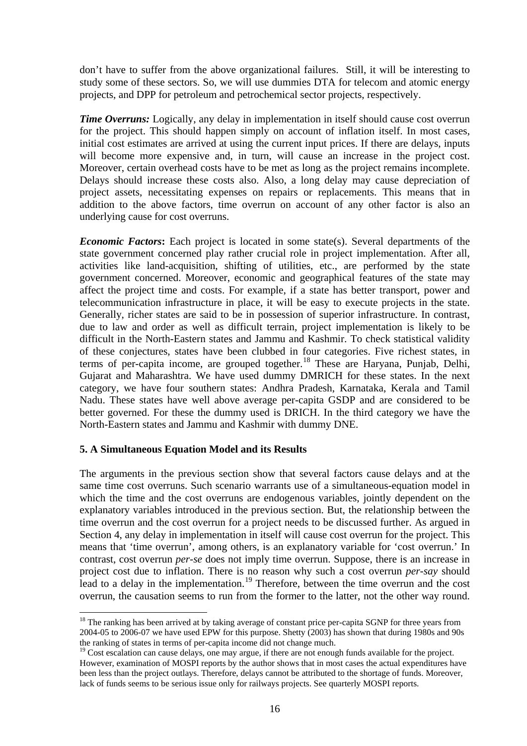don't have to suffer from the above organizational failures. Still, it will be interesting to study some of these sectors. So, we will use dummies DTA for telecom and atomic energy projects, and DPP for petroleum and petrochemical sector projects, respectively.

*Time Overruns:* Logically, any delay in implementation in itself should cause cost overrun for the project. This should happen simply on account of inflation itself. In most cases, initial cost estimates are arrived at using the current input prices. If there are delays, inputs will become more expensive and, in turn, will cause an increase in the project cost. Moreover, certain overhead costs have to be met as long as the project remains incomplete. Delays should increase these costs also. Also, a long delay may cause depreciation of project assets, necessitating expenses on repairs or replacements. This means that in addition to the above factors, time overrun on account of any other factor is also an underlying cause for cost overruns.

*Economic Factors*: Each project is located in some state(s). Several departments of the state government concerned play rather crucial role in project implementation. After all, activities like land-acquisition, shifting of utilities, etc., are performed by the state government concerned. Moreover, economic and geographical features of the state may affect the project time and costs. For example, if a state has better transport, power and telecommunication infrastructure in place, it will be easy to execute projects in the state. Generally, richer states are said to be in possession of superior infrastructure. In contrast, due to law and order as well as difficult terrain, project implementation is likely to be difficult in the North-Eastern states and Jammu and Kashmir. To check statistical validity of these conjectures, states have been clubbed in four categories. Five richest states, in terms of per-capita income, are grouped together.<sup>[18](#page-16-0)</sup> These are Haryana, Punjab, Delhi, Gujarat and Maharashtra. We have used dummy DMRICH for these states. In the next category, we have four southern states: Andhra Pradesh, Karnataka, Kerala and Tamil Nadu. These states have well above average per-capita GSDP and are considered to be better governed. For these the dummy used is DRICH. In the third category we have the North-Eastern states and Jammu and Kashmir with dummy DNE.

## **5. A Simultaneous Equation Model and its Results**

-

The arguments in the previous section show that several factors cause delays and at the same time cost overruns. Such scenario warrants use of a simultaneous-equation model in which the time and the cost overruns are endogenous variables, jointly dependent on the explanatory variables introduced in the previous section. But, the relationship between the time overrun and the cost overrun for a project needs to be discussed further. As argued in Section 4, any delay in implementation in itself will cause cost overrun for the project. This means that 'time overrun', among others, is an explanatory variable for 'cost overrun.' In contrast, cost overrun *per-se* does not imply time overrun. Suppose, there is an increase in project cost due to inflation. There is no reason why such a cost overrun *per-say* should lead to a delay in the implementation.<sup>[19](#page-16-1)</sup> Therefore, between the time overrun and the cost overrun, the causation seems to run from the former to the latter, not the other way round.

<span id="page-16-0"></span><sup>&</sup>lt;sup>18</sup> The ranking has been arrived at by taking average of constant price per-capita SGNP for three years from 2004-05 to 2006-07 we have used EPW for this purpose. Shetty (2003) has shown that during 1980s and 90s the ranking of states in terms of per-capita income did not change much.

<span id="page-16-1"></span><sup>&</sup>lt;sup>19</sup> Cost escalation can cause delays, one may argue, if there are not enough funds available for the project. However, examination of MOSPI reports by the author shows that in most cases the actual expenditures have been less than the project outlays. Therefore, delays cannot be attributed to the shortage of funds. Moreover, lack of funds seems to be serious issue only for railways projects. See quarterly MOSPI reports.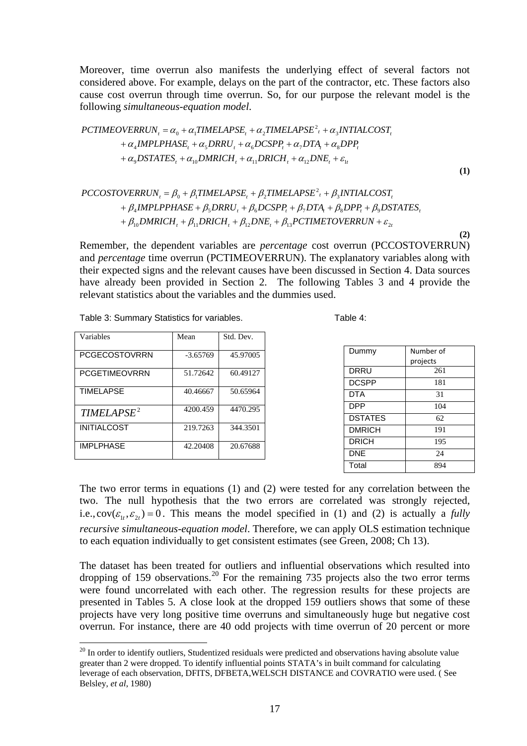Moreover, time overrun also manifests the underlying effect of several factors not considered above. For example, delays on the part of the contractor, etc. These factors also cause cost overrun through time overrun. So, for our purpose the relevant model is the following *simultaneous-equation model*.

$$
PCTIME OVERRUN_{t} = \alpha_{0} + \alpha_{1}TIMELAPSE_{t} + \alpha_{2} TIMELAPSE^{2}{}_{t} + \alpha_{3} INTIALCOST_{t}
$$
  
+  $\alpha_{4} IMPLPHASE_{t} + \alpha_{5} DRRU_{t} + \alpha_{6} DCSPP_{t} + \alpha_{7} DTA_{t} + \alpha_{8} DPP_{t}$   
+  $\alpha_{9} DSTATES_{t} + \alpha_{10} DMRICH_{t} + \alpha_{11} DRICH_{t} + \alpha_{12} DNE_{t} + \varepsilon_{1t}$ 

$$
(\mathbf{1})
$$

**(2)**

$$
\begin{aligned} PCCOSTOVERRUN_t &= \beta_0 + \beta_1 TIMELAPSE_t + \beta_2 TIMELAPSE^2_t + \beta_3 INTIALCOST_t \\ &+ \beta_4 IMPLPPHASE + \beta_5 DRRU_t + \beta_6 DCSPP_t + \beta_7 DTA_t + \beta_8 DPP_t + \beta_9 DSTATES_t \\ &+ \beta_{10} DMRICH_t + \beta_{11} DRICH_t + \beta_{12} DNE_t + \beta_{13} PCTIMETOVERRUN + \varepsilon_{2t} \end{aligned}
$$

Remember, the dependent variables are *percentage* cost overrun (PCCOSTOVERRUN) and *percentage* time overrun (PCTIMEOVERRUN). The explanatory variables along with their expected signs and the relevant causes have been discussed in Section 4. Data sources have already been provided in Section 2. The following Tables 3 and 4 provide the relevant statistics about the variables and the dummies used.

| Variables              | Mean       | Std. Dev. |
|------------------------|------------|-----------|
| <b>PCGECOSTOVRRN</b>   | $-3.65769$ | 45.97005  |
| <b>PCGETIMEOVRRN</b>   | 51.72642   | 60.49127  |
| <b>TIMELAPSE</b>       | 40.46667   | 50.65964  |
| TIMELAPSE <sup>2</sup> | 4200.459   | 4470.295  |
| INITIAL COST           | 219.7263   | 344.3501  |
| <b>IMPLPHASE</b>       | 42.20408   | 20.67688  |

-

Table 3: Summary Statistics for variables. Table 4:

| Dummy          | Number of |
|----------------|-----------|
|                | projects  |
| DRRU           | 261       |
| <b>DCSPP</b>   | 181       |
| DTA            | 31        |
| <b>DPP</b>     | 104       |
| <b>DSTATES</b> | 62        |
| <b>DMRICH</b>  | 191       |
| <b>DRICH</b>   | 195       |
| <b>DNE</b>     | 24        |
| Total          | 894       |

The two error terms in equations (1) and (2) were tested for any correlation between the two. The null hypothesis that the two errors are correlated was strongly rejected, i.e.,  $cov(\varepsilon_1, \varepsilon_2) = 0$ . This means the model specified in (1) and (2) is actually a *fully recursive simultaneous-equation model*. Therefore, we can apply OLS estimation technique to each equation individually to get consistent estimates (see Green, 2008; Ch 13).

The dataset has been treated for outliers and influential observations which resulted into dropping of 159 observations.<sup>[20](#page-17-0)</sup> For the remaining 735 projects also the two error terms were found uncorrelated with each other. The regression results for these projects are presented in Tables 5. A close look at the dropped 159 outliers shows that some of these projects have very long positive time overruns and simultaneously huge but negative cost overrun. For instance, there are 40 odd projects with time overrun of 20 percent or more

<span id="page-17-0"></span><sup>&</sup>lt;sup>20</sup> In order to identify outliers, Studentized residuals were predicted and observations having absolute value greater than 2 were dropped. To identify influential points STATA's in built command for calculating leverage of each observation, DFITS, DFBETA,WELSCH DISTANCE and COVRATIO were used. ( See Belsley, *et al*, 1980)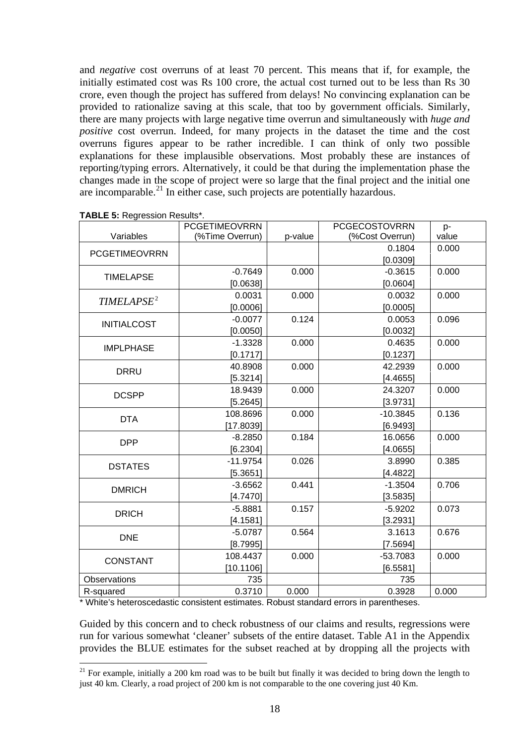and *negative* cost overruns of at least 70 percent. This means that if, for example, the initially estimated cost was Rs 100 crore, the actual cost turned out to be less than Rs 30 crore, even though the project has suffered from delays! No convincing explanation can be provided to rationalize saving at this scale, that too by government officials. Similarly, there are many projects with large negative time overrun and simultaneously with *huge and positive* cost overrun. Indeed, for many projects in the dataset the time and the cost overruns figures appear to be rather incredible. I can think of only two possible explanations for these implausible observations. Most probably these are instances of reporting/typing errors. Alternatively, it could be that during the implementation phase the changes made in the scope of project were so large that the final project and the initial one are incomparable.<sup>[21](#page-18-0)</sup> In either case, such projects are potentially hazardous.

|                        | <b>PCGETIMEOVRRN</b> |         | <b>PCGECOSTOVRRN</b> | p-    |
|------------------------|----------------------|---------|----------------------|-------|
| Variables              | (%Time Overrun)      | p-value | (%Cost Overrun)      | value |
| <b>PCGETIMEOVRRN</b>   |                      |         | 0.1804               | 0.000 |
|                        |                      |         | [0.0309]             |       |
| <b>TIMELAPSE</b>       | $-0.7649$            | 0.000   | $-0.3615$            | 0.000 |
|                        | [0.0638]             |         | [0.0604]             |       |
| TIMELAPSE <sup>2</sup> | 0.0031               | 0.000   | 0.0032               | 0.000 |
|                        | [0.0006]             |         | [0.0005]             |       |
| <b>INITIALCOST</b>     | $-0.0077$            | 0.124   | 0.0053               | 0.096 |
|                        | [0.0050]             |         | [0.0032]             |       |
| <b>IMPLPHASE</b>       | $-1.3328$            | 0.000   | 0.4635               | 0.000 |
|                        | [0.1717]             |         | [0.1237]             |       |
| <b>DRRU</b>            | 40.8908              | 0.000   | 42.2939              | 0.000 |
|                        | [5.3214]             |         | [4.4655]             |       |
| <b>DCSPP</b>           | 18.9439              | 0.000   | 24.3207              | 0.000 |
|                        | [5.2645]             |         | [3.9731]             |       |
| <b>DTA</b>             | 108.8696             | 0.000   | $-10.3845$           | 0.136 |
|                        | [17.8039]            |         | [6.9493]             |       |
| <b>DPP</b>             | $-8.2850$            | 0.184   | 16.0656              | 0.000 |
|                        | [6.2304]             |         | [4.0655]             |       |
|                        | $-11.9754$           | 0.026   | 3.8990               | 0.385 |
| <b>DSTATES</b>         | [5.3651]             |         | [4.4822]             |       |
| <b>DMRICH</b>          | $-3.6562$            | 0.441   | $-1.3504$            | 0.706 |
|                        | [4.7470]             |         | [3.5835]             |       |
|                        | $-5.8881$            | 0.157   | $-5.9202$            | 0.073 |
| <b>DRICH</b>           | [4.1581]             |         | [3.2931]             |       |
|                        | $-5.0787$            | 0.564   | 3.1613               | 0.676 |
| <b>DNE</b>             | [8.7995]             |         | [7.5694]             |       |
|                        | 108.4437             | 0.000   | $-53.7083$           | 0.000 |
| <b>CONSTANT</b>        | [10.1106]            |         | [6.5581]             |       |
| Observations           | 735                  |         | 735                  |       |
| R-squared              | 0.3710               | 0.000   | 0.3928               | 0.000 |

| <b>TABLE 5: Regression Results*.</b> |  |
|--------------------------------------|--|
|                                      |  |

<u>.</u>

\* White's heteroscedastic consistent estimates. Robust standard errors in parentheses.

Guided by this concern and to check robustness of our claims and results, regressions were run for various somewhat 'cleaner' subsets of the entire dataset. Table A1 in the Appendix provides the BLUE estimates for the subset reached at by dropping all the projects with

<span id="page-18-0"></span> $21$  For example, initially a 200 km road was to be built but finally it was decided to bring down the length to just 40 km. Clearly, a road project of 200 km is not comparable to the one covering just 40 Km.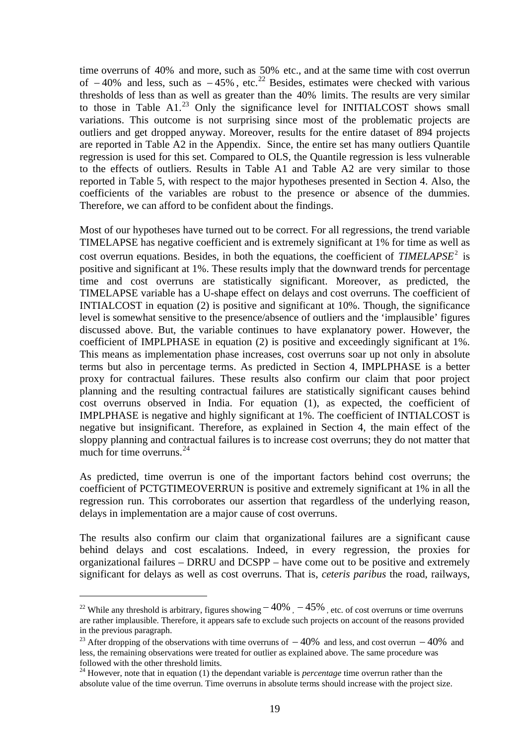time overruns of 40% and more, such as 50% etc., and at the same time with cost overrun of  $-40\%$  and less, such as  $-45\%$ , etc.<sup>[22](#page-19-0)</sup> Besides, estimates were checked with various thresholds of less than as well as greater than the 40% limits. The results are very similar to those in Table  $A1<sup>23</sup>$  $A1<sup>23</sup>$  $A1<sup>23</sup>$  Only the significance level for INITIALCOST shows small variations. This outcome is not surprising since most of the problematic projects are outliers and get dropped anyway. Moreover, results for the entire dataset of 894 projects are reported in Table A2 in the Appendix. Since, the entire set has many outliers Quantile regression is used for this set. Compared to OLS, the Quantile regression is less vulnerable to the effects of outliers. Results in Table A1 and Table A2 are very similar to those reported in Table 5, with respect to the major hypotheses presented in Section 4. Also, the coefficients of the variables are robust to the presence or absence of the dummies. Therefore, we can afford to be confident about the findings.

Most of our hypotheses have turned out to be correct. For all regressions, the trend variable TIMELAPSE has negative coefficient and is extremely significant at 1% for time as well as cost overrun equations. Besides, in both the equations, the coefficient of *TIMELAPSE*<sup>2</sup> is positive and significant at 1%. These results imply that the downward trends for percentage time and cost overruns are statistically significant. Moreover, as predicted, the TIMELAPSE variable has a U-shape effect on delays and cost overruns. The coefficient of INTIALCOST in equation (2) is positive and significant at 10%. Though, the significance level is somewhat sensitive to the presence/absence of outliers and the 'implausible' figures discussed above. But, the variable continues to have explanatory power. However, the coefficient of IMPLPHASE in equation (2) is positive and exceedingly significant at 1%. This means as implementation phase increases, cost overruns soar up not only in absolute terms but also in percentage terms. As predicted in Section 4, IMPLPHASE is a better proxy for contractual failures. These results also confirm our claim that poor project planning and the resulting contractual failures are statistically significant causes behind cost overruns observed in India. For equation (1), as expected, the coefficient of IMPLPHASE is negative and highly significant at 1%. The coefficient of INTIALCOST is negative but insignificant. Therefore, as explained in Section 4, the main effect of the sloppy planning and contractual failures is to increase cost overruns; they do not matter that much for time overruns. $^{24}$  $^{24}$  $^{24}$ 

As predicted, time overrun is one of the important factors behind cost overruns; the coefficient of PCTGTIMEOVERRUN is positive and extremely significant at 1% in all the regression run. This corroborates our assertion that regardless of the underlying reason, delays in implementation are a major cause of cost overruns.

The results also confirm our claim that organizational failures are a significant cause behind delays and cost escalations. Indeed, in every regression, the proxies for organizational failures – DRRU and DCSPP – have come out to be positive and extremely significant for delays as well as cost overruns. That is, *ceteris paribus* the road, railways,

-

<span id="page-19-0"></span><sup>&</sup>lt;sup>22</sup> While any threshold is arbitrary, figures showing  $-40\%$ ,  $-45\%$ , etc. of cost overruns or time overruns are rather implausible. Therefore, it appears safe to exclude such projects on account of the reasons provided in the previous paragraph.

<span id="page-19-1"></span><sup>&</sup>lt;sup>23</sup> After dropping of the observations with time overruns of  $-40\%$  and less, and cost overrun  $-40\%$  and less, the remaining observations were treated for outlier as explained above. The same procedure was followed with the other threshold limits.

<span id="page-19-2"></span><sup>&</sup>lt;sup>24</sup> However, note that in equation (1) the dependant variable is *percentage* time overrun rather than the absolute value of the time overrun. Time overruns in absolute terms should increase with the project size.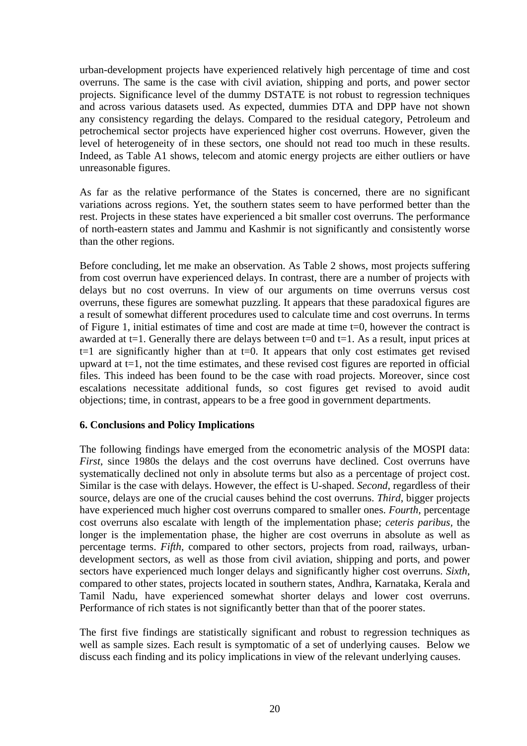urban-development projects have experienced relatively high percentage of time and cost overruns. The same is the case with civil aviation, shipping and ports, and power sector projects. Significance level of the dummy DSTATE is not robust to regression techniques and across various datasets used. As expected, dummies DTA and DPP have not shown any consistency regarding the delays. Compared to the residual category, Petroleum and petrochemical sector projects have experienced higher cost overruns. However, given the level of heterogeneity of in these sectors, one should not read too much in these results. Indeed, as Table A1 shows, telecom and atomic energy projects are either outliers or have unreasonable figures.

As far as the relative performance of the States is concerned, there are no significant variations across regions. Yet, the southern states seem to have performed better than the rest. Projects in these states have experienced a bit smaller cost overruns. The performance of north-eastern states and Jammu and Kashmir is not significantly and consistently worse than the other regions.

Before concluding, let me make an observation. As Table 2 shows, most projects suffering from cost overrun have experienced delays. In contrast, there are a number of projects with delays but no cost overruns. In view of our arguments on time overruns versus cost overruns, these figures are somewhat puzzling. It appears that these paradoxical figures are a result of somewhat different procedures used to calculate time and cost overruns. In terms of Figure 1, initial estimates of time and cost are made at time t=0, however the contract is awarded at  $t=1$ . Generally there are delays between  $t=0$  and  $t=1$ . As a result, input prices at  $t=1$  are significantly higher than at  $t=0$ . It appears that only cost estimates get revised upward at  $t=1$ , not the time estimates, and these revised cost figures are reported in official files. This indeed has been found to be the case with road projects. Moreover, since cost escalations necessitate additional funds, so cost figures get revised to avoid audit objections; time, in contrast, appears to be a free good in government departments.

## **6. Conclusions and Policy Implications**

The following findings have emerged from the econometric analysis of the MOSPI data: *First*, since 1980s the delays and the cost overruns have declined. Cost overruns have systematically declined not only in absolute terms but also as a percentage of project cost. Similar is the case with delays. However, the effect is U-shaped. *Second*, regardless of their source, delays are one of the crucial causes behind the cost overruns. *Third*, bigger projects have experienced much higher cost overruns compared to smaller ones. *Fourth*, percentage cost overruns also escalate with length of the implementation phase; *ceteris paribus,* the longer is the implementation phase, the higher are cost overruns in absolute as well as percentage terms. *Fifth*, compared to other sectors, projects from road, railways, urbandevelopment sectors, as well as those from civil aviation, shipping and ports, and power sectors have experienced much longer delays and significantly higher cost overruns. *Sixth*, compared to other states, projects located in southern states, Andhra, Karnataka, Kerala and Tamil Nadu, have experienced somewhat shorter delays and lower cost overruns. Performance of rich states is not significantly better than that of the poorer states.

The first five findings are statistically significant and robust to regression techniques as well as sample sizes. Each result is symptomatic of a set of underlying causes. Below we discuss each finding and its policy implications in view of the relevant underlying causes.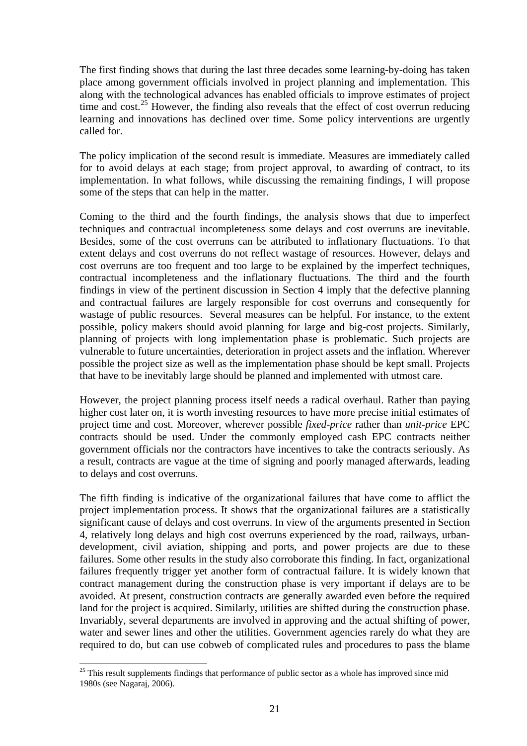The first finding shows that during the last three decades some learning-by-doing has taken place among government officials involved in project planning and implementation. This along with the technological advances has enabled officials to improve estimates of project time and cost.<sup>[25](#page-21-0)</sup> However, the finding also reveals that the effect of cost overrun reducing learning and innovations has declined over time. Some policy interventions are urgently called for.

The policy implication of the second result is immediate. Measures are immediately called for to avoid delays at each stage; from project approval, to awarding of contract, to its implementation. In what follows, while discussing the remaining findings, I will propose some of the steps that can help in the matter.

Coming to the third and the fourth findings, the analysis shows that due to imperfect techniques and contractual incompleteness some delays and cost overruns are inevitable. Besides, some of the cost overruns can be attributed to inflationary fluctuations. To that extent delays and cost overruns do not reflect wastage of resources. However, delays and cost overruns are too frequent and too large to be explained by the imperfect techniques, contractual incompleteness and the inflationary fluctuations. The third and the fourth findings in view of the pertinent discussion in Section 4 imply that the defective planning and contractual failures are largely responsible for cost overruns and consequently for wastage of public resources. Several measures can be helpful. For instance, to the extent possible, policy makers should avoid planning for large and big-cost projects. Similarly, planning of projects with long implementation phase is problematic. Such projects are vulnerable to future uncertainties, deterioration in project assets and the inflation. Wherever possible the project size as well as the implementation phase should be kept small. Projects that have to be inevitably large should be planned and implemented with utmost care.

However, the project planning process itself needs a radical overhaul. Rather than paying higher cost later on, it is worth investing resources to have more precise initial estimates of project time and cost. Moreover, wherever possible *fixed-price* rather than *unit-price* EPC contracts should be used. Under the commonly employed cash EPC contracts neither government officials nor the contractors have incentives to take the contracts seriously. As a result, contracts are vague at the time of signing and poorly managed afterwards, leading to delays and cost overruns.

The fifth finding is indicative of the organizational failures that have come to afflict the project implementation process. It shows that the organizational failures are a statistically significant cause of delays and cost overruns. In view of the arguments presented in Section 4, relatively long delays and high cost overruns experienced by the road, railways, urbandevelopment, civil aviation, shipping and ports, and power projects are due to these failures. Some other results in the study also corroborate this finding. In fact, organizational failures frequently trigger yet another form of contractual failure. It is widely known that contract management during the construction phase is very important if delays are to be avoided. At present, construction contracts are generally awarded even before the required land for the project is acquired. Similarly, utilities are shifted during the construction phase. Invariably, several departments are involved in approving and the actual shifting of power, water and sewer lines and other the utilities. Government agencies rarely do what they are required to do, but can use cobweb of complicated rules and procedures to pass the blame

<u>.</u>

<span id="page-21-0"></span> $25$  This result supplements findings that performance of public sector as a whole has improved since mid 1980s (see Nagaraj, 2006).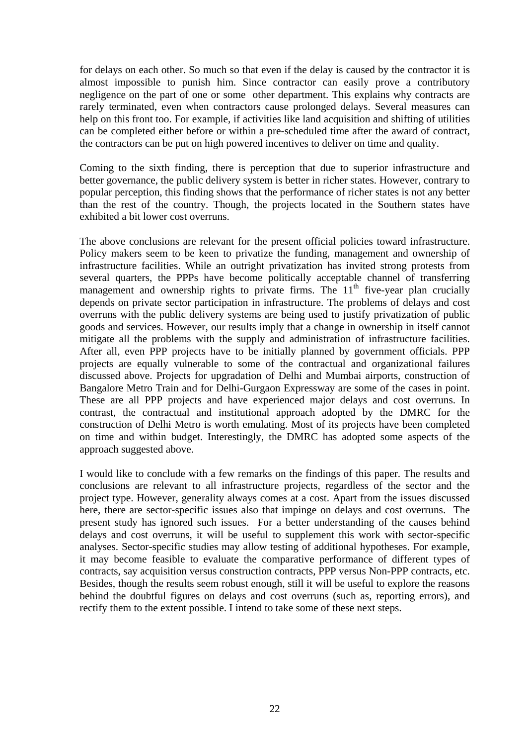for delays on each other. So much so that even if the delay is caused by the contractor it is almost impossible to punish him. Since contractor can easily prove a contributory negligence on the part of one or some other department. This explains why contracts are rarely terminated, even when contractors cause prolonged delays. Several measures can help on this front too. For example, if activities like land acquisition and shifting of utilities can be completed either before or within a pre-scheduled time after the award of contract, the contractors can be put on high powered incentives to deliver on time and quality.

Coming to the sixth finding, there is perception that due to superior infrastructure and better governance, the public delivery system is better in richer states. However, contrary to popular perception, this finding shows that the performance of richer states is not any better than the rest of the country. Though, the projects located in the Southern states have exhibited a bit lower cost overruns.

The above conclusions are relevant for the present official policies toward infrastructure. Policy makers seem to be keen to privatize the funding, management and ownership of infrastructure facilities. While an outright privatization has invited strong protests from several quarters, the PPPs have become politically acceptable channel of transferring management and ownership rights to private firms. The  $11<sup>th</sup>$  five-year plan crucially depends on private sector participation in infrastructure. The problems of delays and cost overruns with the public delivery systems are being used to justify privatization of public goods and services. However, our results imply that a change in ownership in itself cannot mitigate all the problems with the supply and administration of infrastructure facilities. After all, even PPP projects have to be initially planned by government officials. PPP projects are equally vulnerable to some of the contractual and organizational failures discussed above. Projects for upgradation of Delhi and Mumbai airports, construction of Bangalore Metro Train and for Delhi-Gurgaon Expressway are some of the cases in point. These are all PPP projects and have experienced major delays and cost overruns. In contrast, the contractual and institutional approach adopted by the DMRC for the construction of Delhi Metro is worth emulating. Most of its projects have been completed on time and within budget. Interestingly, the DMRC has adopted some aspects of the approach suggested above.

I would like to conclude with a few remarks on the findings of this paper. The results and conclusions are relevant to all infrastructure projects, regardless of the sector and the project type. However, generality always comes at a cost. Apart from the issues discussed here, there are sector-specific issues also that impinge on delays and cost overruns. The present study has ignored such issues. For a better understanding of the causes behind delays and cost overruns, it will be useful to supplement this work with sector-specific analyses. Sector-specific studies may allow testing of additional hypotheses. For example, it may become feasible to evaluate the comparative performance of different types of contracts, say acquisition versus construction contracts, PPP versus Non-PPP contracts, etc. Besides, though the results seem robust enough, still it will be useful to explore the reasons behind the doubtful figures on delays and cost overruns (such as, reporting errors), and rectify them to the extent possible. I intend to take some of these next steps.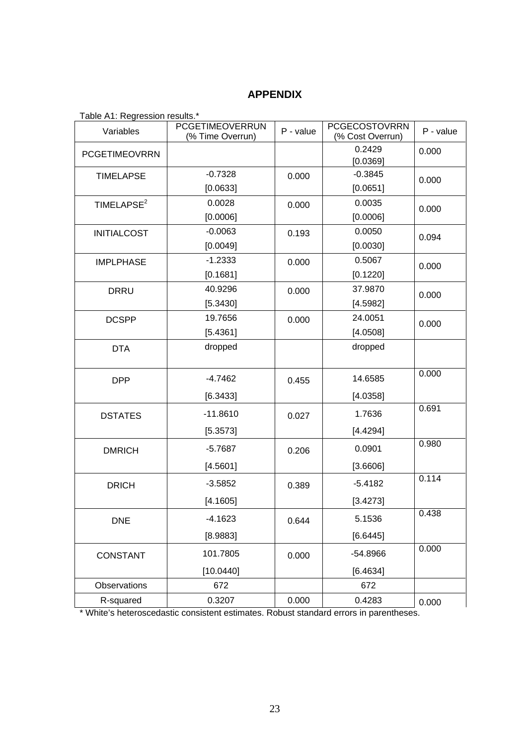## **APPENDIX**

| Table AT: Regression results. |                                     |           |                                          |           |
|-------------------------------|-------------------------------------|-----------|------------------------------------------|-----------|
| Variables                     | PCGETIMEOVERRUN<br>(% Time Overrun) | P - value | <b>PCGECOSTOVRRN</b><br>(% Cost Overrun) | P - value |
| <b>PCGETIMEOVRRN</b>          |                                     |           | 0.2429                                   | 0.000     |
|                               |                                     |           | [0.0369]                                 |           |
| <b>TIMELAPSE</b>              | $-0.7328$                           | 0.000     | $-0.3845$                                | 0.000     |
|                               | [0.0633]                            |           | [0.0651]                                 |           |
| TIMELAPSE <sup>2</sup>        | 0.0028                              | 0.000     | 0.0035                                   | 0.000     |
|                               | [0.0006]                            |           | [0.0006]                                 |           |
| <b>INITIALCOST</b>            | $-0.0063$                           | 0.193     | 0.0050                                   | 0.094     |
|                               | [0.0049]                            |           | [0.0030]                                 |           |
| <b>IMPLPHASE</b>              | $-1.2333$                           | 0.000     | 0.5067                                   | 0.000     |
|                               | [0.1681]                            |           | [0.1220]                                 |           |
| <b>DRRU</b>                   | 40.9296                             | 0.000     | 37.9870                                  | 0.000     |
|                               | [5.3430]                            |           | [4.5982]                                 |           |
| <b>DCSPP</b>                  | 19.7656                             | 0.000     | 24.0051                                  | 0.000     |
|                               | [5.4361]                            |           | [4.0508]                                 |           |
| <b>DTA</b>                    | dropped                             |           | dropped                                  |           |
|                               |                                     |           |                                          |           |
| <b>DPP</b>                    | $-4.7462$                           | 0.455     | 14.6585                                  | 0.000     |
|                               | [6.3433]                            |           | [4.0358]                                 |           |
| <b>DSTATES</b>                | $-11.8610$                          | 0.027     | 1.7636                                   | 0.691     |
|                               | [5.3573]                            |           | [4.4294]                                 |           |
| <b>DMRICH</b>                 | $-5.7687$                           | 0.206     | 0.0901                                   | 0.980     |
|                               | [4.5601]                            |           | [3.6606]                                 |           |
| <b>DRICH</b>                  | $-3.5852$                           | 0.389     | $-5.4182$                                | 0.114     |
|                               | [4.1605]                            |           | [3.4273]                                 |           |
| <b>DNE</b>                    | $-4.1623$                           | 0.644     | 5.1536                                   | 0.438     |
|                               | [8.9883]                            |           | [6.6445]                                 |           |
| <b>CONSTANT</b>               | 101.7805                            | 0.000     | -54.8966                                 | 0.000     |
|                               | [10.0440]                           |           | [6.4634]                                 |           |
| Observations                  | 672                                 |           | 672                                      |           |
| R-squared                     | 0.3207                              | 0.000     | 0.4283                                   | 0.000     |

Table A1: Regression results.\*

\* White's heteroscedastic consistent estimates. Robust standard errors in parentheses.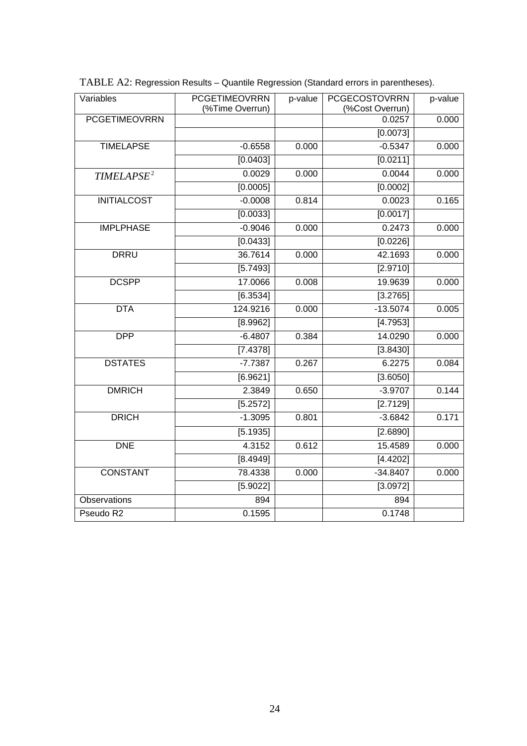| Variables              | <b>PCGETIMEOVRRN</b><br>(%Time Overrun) | p-value | <b>PCGECOSTOVRRN</b><br>(%Cost Overrun) | p-value |
|------------------------|-----------------------------------------|---------|-----------------------------------------|---------|
| <b>PCGETIMEOVRRN</b>   |                                         |         | 0.0257                                  | 0.000   |
|                        |                                         |         | [0.0073]                                |         |
| <b>TIMELAPSE</b>       | $-0.6558$                               | 0.000   | $-0.5347$                               | 0.000   |
|                        | [0.0403]                                |         | [0.0211]                                |         |
| TIMELAPSE <sup>2</sup> | 0.0029                                  | 0.000   | 0.0044                                  | 0.000   |
|                        | [0.0005]                                |         | [0.0002]                                |         |
| <b>INITIALCOST</b>     | $-0.0008$                               | 0.814   | 0.0023                                  | 0.165   |
|                        | [0.0033]                                |         | [0.0017]                                |         |
| <b>IMPLPHASE</b>       | $-0.9046$                               | 0.000   | 0.2473                                  | 0.000   |
|                        | [0.0433]                                |         | [0.0226]                                |         |
| <b>DRRU</b>            | 36.7614                                 | 0.000   | 42.1693                                 | 0.000   |
|                        | [5.7493]                                |         | [2.9710]                                |         |
| <b>DCSPP</b>           | 17.0066                                 | 0.008   | 19.9639                                 | 0.000   |
|                        | [6.3534]                                |         | [3.2765]                                |         |
| <b>DTA</b>             | 124.9216                                | 0.000   | $-13.5074$                              | 0.005   |
|                        | [8.9962]                                |         | [4.7953]                                |         |
| <b>DPP</b>             | $-6.4807$                               | 0.384   | 14.0290                                 | 0.000   |
|                        | [7.4378]                                |         | [3.8430]                                |         |
| <b>DSTATES</b>         | $-7.7387$                               | 0.267   | 6.2275                                  | 0.084   |
|                        | [6.9621]                                |         | [3.6050]                                |         |
| <b>DMRICH</b>          | 2.3849                                  | 0.650   | $-3.9707$                               | 0.144   |
|                        | [5.2572]                                |         | [2.7129]                                |         |
| <b>DRICH</b>           | $-1.3095$                               | 0.801   | $-3.6842$                               | 0.171   |
|                        | [5.1935]                                |         | [2.6890]                                |         |
| <b>DNE</b>             | 4.3152                                  | 0.612   | 15.4589                                 | 0.000   |
|                        | [8.4949]                                |         | [4.4202]                                |         |
| <b>CONSTANT</b>        | 78.4338                                 | 0.000   | $-34.8407$                              | 0.000   |
|                        | $\overline{[5.9022]}$                   |         | [3.0972]                                |         |
| Observations           | 894                                     |         | 894                                     |         |
| Pseudo R2              | 0.1595                                  |         | 0.1748                                  |         |

TABLE A2: Regression Results – Quantile Regression (Standard errors in parentheses).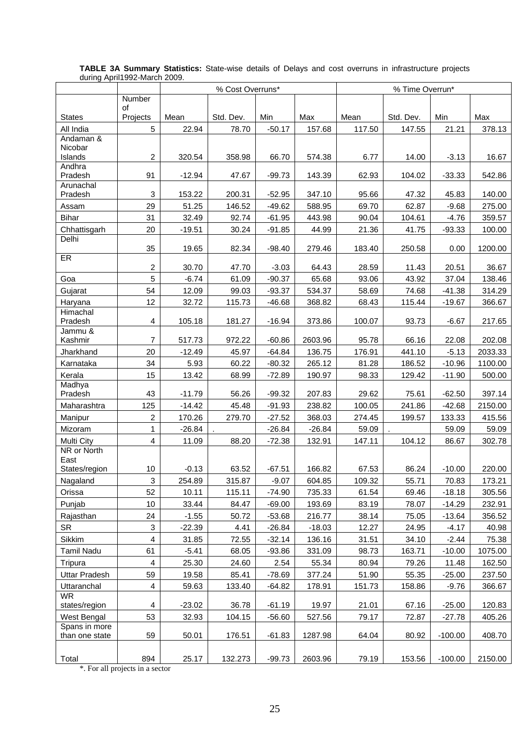|                              |                         |          | % Cost Overruns* |          |          | % Time Overrun* |           |           |         |
|------------------------------|-------------------------|----------|------------------|----------|----------|-----------------|-----------|-----------|---------|
|                              | <b>Number</b>           |          |                  |          |          |                 |           |           |         |
| <b>States</b>                | of<br>Projects          | Mean     | Std. Dev.        | Min      | Max      | Mean            | Std. Dev. | Min       | Max     |
| All India                    | 5                       | 22.94    | 78.70            | $-50.17$ | 157.68   | 117.50          | 147.55    | 21.21     | 378.13  |
| Andaman &                    |                         |          |                  |          |          |                 |           |           |         |
| Nicobar                      |                         |          |                  |          |          |                 |           |           |         |
| Islands<br>Andhra            | $\overline{c}$          | 320.54   | 358.98           | 66.70    | 574.38   | 6.77            | 14.00     | $-3.13$   | 16.67   |
| Pradesh                      | 91                      | $-12.94$ | 47.67            | $-99.73$ | 143.39   | 62.93           | 104.02    | $-33.33$  | 542.86  |
| Arunachal                    |                         |          |                  |          |          |                 |           |           |         |
| Pradesh                      | 3                       | 153.22   | 200.31           | $-52.95$ | 347.10   | 95.66           | 47.32     | 45.83     | 140.00  |
| Assam                        | 29                      | 51.25    | 146.52           | $-49.62$ | 588.95   | 69.70           | 62.87     | $-9.68$   | 275.00  |
| <b>Bihar</b>                 | 31                      | 32.49    | 92.74            | $-61.95$ | 443.98   | 90.04           | 104.61    | $-4.76$   | 359.57  |
| Chhattisgarh                 | 20                      | $-19.51$ | 30.24            | $-91.85$ | 44.99    | 21.36           | 41.75     | $-93.33$  | 100.00  |
| Delhi                        | 35                      | 19.65    | 82.34            | $-98.40$ | 279.46   | 183.40          | 250.58    | 0.00      | 1200.00 |
| ER                           | 2                       | 30.70    | 47.70            | $-3.03$  | 64.43    | 28.59           | 11.43     | 20.51     | 36.67   |
| Goa                          | 5                       | $-6.74$  | 61.09            | $-90.37$ | 65.68    | 93.06           | 43.92     | 37.04     | 138.46  |
| Gujarat                      | 54                      | 12.09    | 99.03            | $-93.37$ | 534.37   | 58.69           | 74.68     | $-41.38$  | 314.29  |
| Haryana                      | 12                      | 32.72    | 115.73           | $-46.68$ | 368.82   | 68.43           | 115.44    | $-19.67$  | 366.67  |
| Himachal                     |                         |          |                  |          |          |                 |           |           |         |
| Pradesh<br>Jammu &           | 4                       | 105.18   | 181.27           | $-16.94$ | 373.86   | 100.07          | 93.73     | $-6.67$   | 217.65  |
| Kashmir                      | $\overline{7}$          | 517.73   | 972.22           | $-60.86$ | 2603.96  | 95.78           | 66.16     | 22.08     | 202.08  |
| Jharkhand                    | 20                      | $-12.49$ | 45.97            | $-64.84$ | 136.75   | 176.91          | 441.10    | $-5.13$   | 2033.33 |
| Karnataka                    | 34                      | 5.93     | 60.22            | $-80.32$ | 265.12   | 81.28           | 186.52    | $-10.96$  | 1100.00 |
| Kerala                       | 15                      | 13.42    | 68.99            | $-72.89$ | 190.97   | 98.33           | 129.42    | $-11.90$  | 500.00  |
| Madhya<br>Pradesh            | 43                      | $-11.79$ | 56.26            | $-99.32$ | 207.83   | 29.62           | 75.61     | $-62.50$  | 397.14  |
| Maharashtra                  | 125                     | $-14.42$ | 45.48            | $-91.93$ | 238.82   | 100.05          | 241.86    | $-42.68$  | 2150.00 |
| Manipur                      | $\overline{\mathbf{c}}$ | 170.26   | 279.70           | $-27.52$ | 368.03   | 274.45          | 199.57    | 133.33    | 415.56  |
| Mizoram                      | $\mathbf{1}$            | $-26.84$ |                  | $-26.84$ | $-26.84$ | 59.09           |           | 59.09     | 59.09   |
| Multi City                   | $\overline{4}$          | 11.09    | 88.20            | $-72.38$ | 132.91   | 147.11          | 104.12    | 86.67     | 302.78  |
| NR or North                  |                         |          |                  |          |          |                 |           |           |         |
| East<br>States/region        | 10                      | $-0.13$  | 63.52            | $-67.51$ | 166.82   | 67.53           | 86.24     | $-10.00$  | 220.00  |
| Nagaland                     | 3                       | 254.89   | 315.87           | $-9.07$  | 604.85   | 109.32          | 55.71     | 70.83     | 173.21  |
| Orissa                       | 52                      | 10.11    | 115.11           | $-74.90$ | 735.33   | 61.54           | 69.46     | $-18.18$  | 305.56  |
| Punjab                       | $10$                    | 33.44    | 84.47            | $-69.00$ | 193.69   | 83.19           | 78.07     | $-14.29$  | 232.91  |
| Rajasthan                    | 24                      | $-1.55$  | 50.72            | $-53.68$ | 216.77   | 38.14           | 75.05     | $-13.64$  | 356.52  |
| <b>SR</b>                    | 3                       | $-22.39$ | 4.41             | $-26.84$ | $-18.03$ | 12.27           | 24.95     | $-4.17$   | 40.98   |
| Sikkim                       | $\overline{\mathbf{4}}$ | 31.85    | 72.55            | $-32.14$ | 136.16   | 31.51           | 34.10     | $-2.44$   | 75.38   |
| Tamil Nadu                   | 61                      | $-5.41$  | 68.05            | $-93.86$ | 331.09   | 98.73           | 163.71    | $-10.00$  | 1075.00 |
| Tripura                      | $\overline{\mathbf{4}}$ | 25.30    | 24.60            | 2.54     | 55.34    | 80.94           | 79.26     | 11.48     | 162.50  |
| Uttar Pradesh                | 59                      | 19.58    | 85.41            | $-78.69$ | 377.24   | 51.90           | 55.35     | $-25.00$  | 237.50  |
| Uttaranchal                  | $\overline{\mathbf{4}}$ | 59.63    | 133.40           | $-64.82$ | 178.91   | 151.73          | 158.86    | $-9.76$   | 366.67  |
| <b>WR</b>                    |                         |          |                  |          |          |                 |           |           |         |
| states/region                | 4                       | $-23.02$ | 36.78            | $-61.19$ | 19.97    | 21.01           | 67.16     | $-25.00$  | 120.83  |
| West Bengal<br>Spans in more | 53                      | 32.93    | 104.15           | $-56.60$ | 527.56   | 79.17           | 72.87     | $-27.78$  | 405.26  |
| than one state               | 59                      | 50.01    | 176.51           | $-61.83$ | 1287.98  | 64.04           | 80.92     | $-100.00$ | 408.70  |
| Total                        | 894                     | 25.17    | 132.273          | $-99.73$ | 2603.96  | 79.19           | 153.56    | $-100.00$ | 2150.00 |
|                              |                         |          |                  |          |          |                 |           |           |         |

#### **TABLE 3A Summary Statistics:** State-wise details of Delays and cost overruns in infrastructure projects during April1992-March 2009.

\*. For all projects in a sector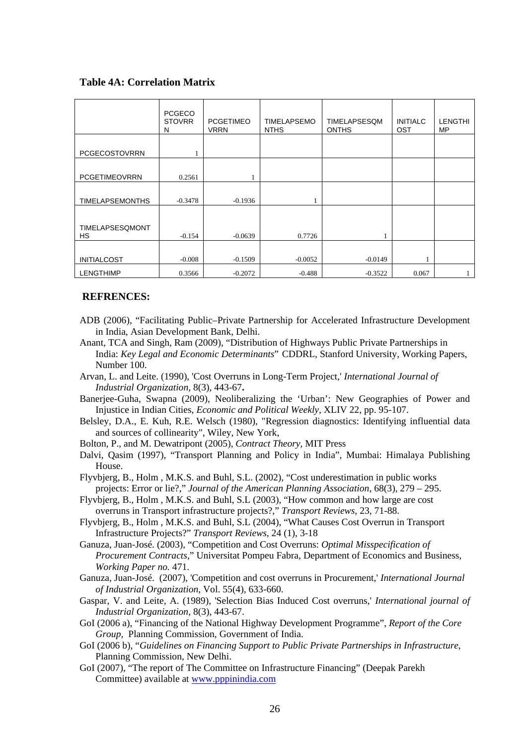#### **Table 4A: Correlation Matrix**

|                        | <b>PCGECO</b><br><b>STOVRR</b><br>N | <b>PCGETIMEO</b><br><b>VRRN</b> | <b>TIMELAPSEMO</b><br><b>NTHS</b> | TIMELAPSESQM<br><b>ONTHS</b> | <b>INITIALC</b><br><b>OST</b> | <b>LENGTHI</b><br><b>MP</b> |
|------------------------|-------------------------------------|---------------------------------|-----------------------------------|------------------------------|-------------------------------|-----------------------------|
| PCGECOSTOVRRN          |                                     |                                 |                                   |                              |                               |                             |
| <b>PCGETIMEOVRRN</b>   | 0.2561                              |                                 |                                   |                              |                               |                             |
| <b>TIMELAPSEMONTHS</b> | $-0.3478$                           | $-0.1936$                       |                                   |                              |                               |                             |
| TIMELAPSESQMONT<br>HS. | $-0.154$                            | $-0.0639$                       | 0.7726                            |                              |                               |                             |
| <b>INITIALCOST</b>     | $-0.008$                            | $-0.1509$                       | $-0.0052$                         | $-0.0149$                    |                               |                             |
| <b>LENGTHIMP</b>       | 0.3566                              | $-0.2072$                       | $-0.488$                          | $-0.3522$                    | 0.067                         |                             |

#### **REFRENCES:**

- ADB (2006), "Facilitating Public–Private Partnership for Accelerated Infrastructure Development in India, Asian Development Bank, Delhi.
- Anant, TCA and Singh, Ram (2009), "Distribution of Highways Public Private Partnerships in India: *Key Legal and Economic Determinants*" CDDRL, Stanford University, Working Papers, Number 100.
- Arvan, L. and Leite. (1990), 'Cost Overruns in Long-Term Project,' *International Journal of Industrial Organization,* 8(3), 443-67**.**
- Banerjee-Guha, Swapna (2009), Neoliberalizing the 'Urban': New Geographies of Power and Injustice in Indian Cities, *Economic and Political Weekly,* XLIV 22, pp. 95-107.
- Belsley, D.A., E. Kuh, R.E. Welsch (1980), "Regression diagnostics: Identifying influential data and sources of collinearity", Wiley, New York,
- Bolton, P., and M. Dewatripont (2005), *Contract Theory*, MIT Press
- Dalvi, Qasim (1997), "Transport Planning and Policy in India", Mumbai: Himalaya Publishing House.
- Flyvbjerg, B., Holm , M.K.S. and Buhl, S.L. (2002), "Cost underestimation in public works projects: Error or lie?," *Journal of the American Planning Association*, 68(3), 279 – 295.
- Flyvbjerg, B., Holm , M.K.S. and Buhl, S.L (2003), "How common and how large are cost overruns in Transport infrastructure projects?," *Transport Reviews*, 23, 71-88.
- Flyvbjerg, B., Holm , M.K.S. and Buhl, S.L (2004), ["What Causes Cost Overrun in Transport](http://flyvbjerg.plan.aau.dk/COSTCAUSESASPUBLISHED.pdf)  [Infrastructure Projects?"](http://flyvbjerg.plan.aau.dk/COSTCAUSESASPUBLISHED.pdf) *Transport Reviews*, 24 (1), 3-18
- Ganuza, Juan-José. (2003), "Competition and Cost Overruns: *Optimal Misspecification of Procurement Contracts*," Universitat Pompeu Fabra, Department of Economics and Business, *Working Paper no.* 471.
- Ganuza, Juan-José. (2007), 'Competition and cost overruns in Procurement,' *International Journal of Industrial Organization*, Vol. 55(4), 633-660.
- Gaspar, V. and Leite, A. (1989), 'Selection Bias Induced Cost overruns,' *International journal of Industrial Organization*, 8(3), 443-67.
- GoI (2006 a), "Financing of the National Highway Development Programme", *Report of the Core Group,* Planning Commission, Government of India.
- GoI (2006 b), "*Guidelines on Financing Support to Public Private Partnerships in Infrastructure*, Planning Commission, New Delhi.
- GoI (2007), "The report of The Committee on Infrastructure Financing" (Deepak Parekh Committee) available at [www.pppinindia.com](http://www.pppinindia.com/)